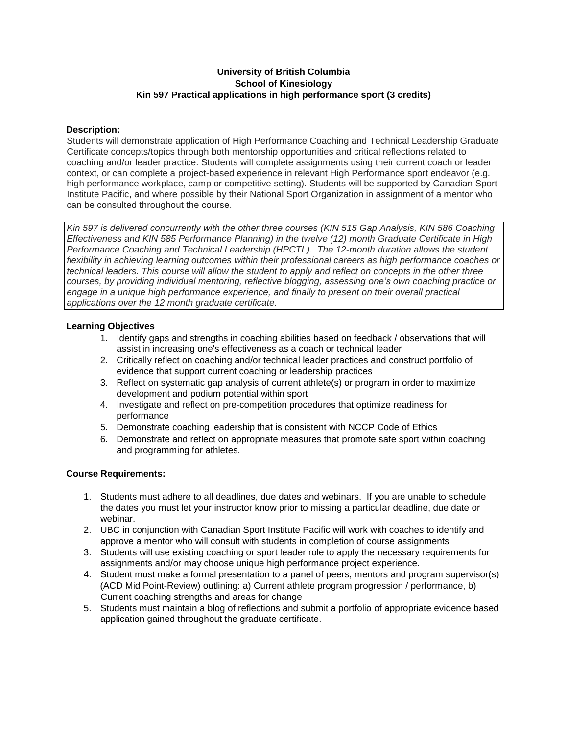# **University of British Columbia School of Kinesiology Kin 597 Practical applications in high performance sport (3 credits)**

# **Description:**

Students will demonstrate application of High Performance Coaching and Technical Leadership Graduate Certificate concepts/topics through both mentorship opportunities and critical reflections related to coaching and/or leader practice. Students will complete assignments using their current coach or leader context, or can complete a project-based experience in relevant High Performance sport endeavor (e.g. high performance workplace, camp or competitive setting). Students will be supported by Canadian Sport Institute Pacific, and where possible by their National Sport Organization in assignment of a mentor who can be consulted throughout the course.

*Kin 597 is delivered concurrently with the other three courses (KIN 515 Gap Analysis, KIN 586 Coaching Effectiveness and KIN 585 Performance Planning) in the twelve (12) month Graduate Certificate in High Performance Coaching and Technical Leadership (HPCTL). The 12-month duration allows the student flexibility in achieving learning outcomes within their professional careers as high performance coaches or* technical leaders. This course will allow the student to apply and reflect on concepts in the other three *courses, by providing individual mentoring, reflective blogging, assessing one's own coaching practice or engage in a unique high performance experience, and finally to present on their overall practical applications over the 12 month graduate certificate.*

# **Learning Objectives**

- 1. Identify gaps and strengths in coaching abilities based on feedback / observations that will assist in increasing one's effectiveness as a coach or technical leader
- 2. Critically reflect on coaching and/or technical leader practices and construct portfolio of evidence that support current coaching or leadership practices
- 3. Reflect on systematic gap analysis of current athlete(s) or program in order to maximize development and podium potential within sport
- 4. Investigate and reflect on pre-competition procedures that optimize readiness for performance
- 5. Demonstrate coaching leadership that is consistent with NCCP Code of Ethics
- 6. Demonstrate and reflect on appropriate measures that promote safe sport within coaching and programming for athletes.

# **Course Requirements:**

- 1. Students must adhere to all deadlines, due dates and webinars. If you are unable to schedule the dates you must let your instructor know prior to missing a particular deadline, due date or webinar.
- 2. UBC in conjunction with Canadian Sport Institute Pacific will work with coaches to identify and approve a mentor who will consult with students in completion of course assignments
- 3. Students will use existing coaching or sport leader role to apply the necessary requirements for assignments and/or may choose unique high performance project experience.
- 4. Student must make a formal presentation to a panel of peers, mentors and program supervisor(s) (ACD Mid Point-Review) outlining: a) Current athlete program progression / performance, b) Current coaching strengths and areas for change
- 5. Students must maintain a blog of reflections and submit a portfolio of appropriate evidence based application gained throughout the graduate certificate.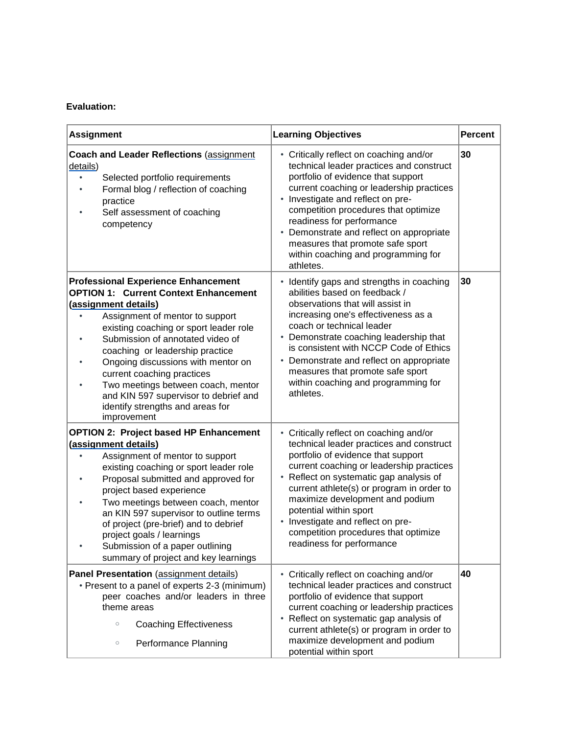# **Evaluation:**

| <b>Assignment</b>                                                                                                                                                                                                                                                                                                                                                                                                                                                            | <b>Learning Objectives</b>                                                                                                                                                                                                                                                                                                                                                                                                           | <b>Percent</b> |
|------------------------------------------------------------------------------------------------------------------------------------------------------------------------------------------------------------------------------------------------------------------------------------------------------------------------------------------------------------------------------------------------------------------------------------------------------------------------------|--------------------------------------------------------------------------------------------------------------------------------------------------------------------------------------------------------------------------------------------------------------------------------------------------------------------------------------------------------------------------------------------------------------------------------------|----------------|
| <b>Coach and Leader Reflections (assignment</b><br>details)<br>Selected portfolio requirements<br>$\bullet$<br>Formal blog / reflection of coaching<br>practice<br>Self assessment of coaching<br>competency                                                                                                                                                                                                                                                                 | • Critically reflect on coaching and/or<br>technical leader practices and construct<br>portfolio of evidence that support<br>current coaching or leadership practices<br>• Investigate and reflect on pre-<br>competition procedures that optimize<br>readiness for performance<br>Demonstrate and reflect on appropriate<br>measures that promote safe sport<br>within coaching and programming for<br>athletes.                    | 30             |
| <b>Professional Experience Enhancement</b><br><b>OPTION 1: Current Context Enhancement</b><br>(assignment details)<br>Assignment of mentor to support<br>existing coaching or sport leader role<br>Submission of annotated video of<br>coaching or leadership practice<br>Ongoing discussions with mentor on<br>current coaching practices<br>Two meetings between coach, mentor<br>and KIN 597 supervisor to debrief and<br>identify strengths and areas for<br>improvement | • Identify gaps and strengths in coaching<br>abilities based on feedback /<br>observations that will assist in<br>increasing one's effectiveness as a<br>coach or technical leader<br>• Demonstrate coaching leadership that<br>is consistent with NCCP Code of Ethics<br>• Demonstrate and reflect on appropriate<br>measures that promote safe sport<br>within coaching and programming for<br>athletes.                           | 30             |
| <b>OPTION 2: Project based HP Enhancement</b><br>(assignment details)<br>Assignment of mentor to support<br>existing coaching or sport leader role<br>Proposal submitted and approved for<br>project based experience<br>Two meetings between coach, mentor<br>an KIN 597 supervisor to outline terms<br>of project (pre-brief) and to debrief<br>project goals / learnings<br>Submission of a paper outlining<br>summary of project and key learnings                       | • Critically reflect on coaching and/or<br>technical leader practices and construct<br>portfolio of evidence that support<br>current coaching or leadership practices<br>• Reflect on systematic gap analysis of<br>current athlete(s) or program in order to<br>maximize development and podium<br>potential within sport<br>• Investigate and reflect on pre-<br>competition procedures that optimize<br>readiness for performance |                |
| Panel Presentation (assignment details)<br>• Present to a panel of experts 2-3 (minimum)<br>peer coaches and/or leaders in three<br>theme areas<br>$\circ$<br><b>Coaching Effectiveness</b><br>Performance Planning<br>$\circ$                                                                                                                                                                                                                                               | • Critically reflect on coaching and/or<br>technical leader practices and construct<br>portfolio of evidence that support<br>current coaching or leadership practices<br>• Reflect on systematic gap analysis of<br>current athlete(s) or program in order to<br>maximize development and podium<br>potential within sport                                                                                                           | 40             |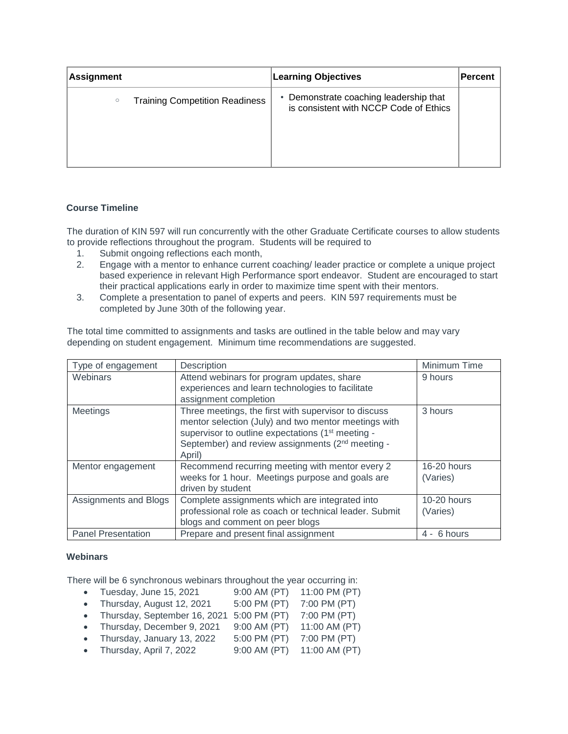| <b>Assignment</b>                                | <b>Learning Objectives</b>                                                       | Percent |
|--------------------------------------------------|----------------------------------------------------------------------------------|---------|
| <b>Training Competition Readiness</b><br>$\circ$ | • Demonstrate coaching leadership that<br>is consistent with NCCP Code of Ethics |         |

# **Course Timeline**

The duration of KIN 597 will run concurrently with the other Graduate Certificate courses to allow students to provide reflections throughout the program. Students will be required to

- 1. Submit ongoing reflections each month,
- 2. Engage with a mentor to enhance current coaching/ leader practice or complete a unique project based experience in relevant High Performance sport endeavor. Student are encouraged to start their practical applications early in order to maximize time spent with their mentors.
- 3. Complete a presentation to panel of experts and peers. KIN 597 requirements must be completed by June 30th of the following year.

The total time committed to assignments and tasks are outlined in the table below and may vary depending on student engagement. Minimum time recommendations are suggested.

| Type of engagement        | Description                                                                                                                                                                                                                                             | Minimum Time              |
|---------------------------|---------------------------------------------------------------------------------------------------------------------------------------------------------------------------------------------------------------------------------------------------------|---------------------------|
| Webinars                  | Attend webinars for program updates, share<br>experiences and learn technologies to facilitate                                                                                                                                                          | 9 hours                   |
|                           | assignment completion                                                                                                                                                                                                                                   |                           |
| Meetings                  | Three meetings, the first with supervisor to discuss<br>mentor selection (July) and two mentor meetings with<br>supervisor to outline expectations (1 <sup>st</sup> meeting -<br>September) and review assignments (2 <sup>nd</sup> meeting -<br>April) | 3 hours                   |
| Mentor engagement         | Recommend recurring meeting with mentor every 2<br>weeks for 1 hour. Meetings purpose and goals are<br>driven by student                                                                                                                                | $16-20$ hours<br>(Varies) |
| Assignments and Blogs     | Complete assignments which are integrated into<br>professional role as coach or technical leader. Submit<br>blogs and comment on peer blogs                                                                                                             | $10-20$ hours<br>(Varies) |
| <b>Panel Presentation</b> | Prepare and present final assignment                                                                                                                                                                                                                    | 4 - 6 hours               |

#### **Webinars**

There will be 6 synchronous webinars throughout the year occurring in:

- Tuesday, June 15, 2021 9:00 AM (PT) 11:00 PM (PT)
- Thursday, August 12, 2021 5:00 PM (PT) 7:00 PM (PT)
- Thursday, September 16, 2021 5:00 PM (PT) 7:00 PM (PT)
- Thursday, December 9, 2021 9:00 AM (PT)  $11:00$  AM (PT)
- Thursday, January 13, 2022 5:00 PM (PT) 7:00 PM (PT)
- Thursday, April 7, 2022 9:00 AM (PT) 11:00 AM (PT)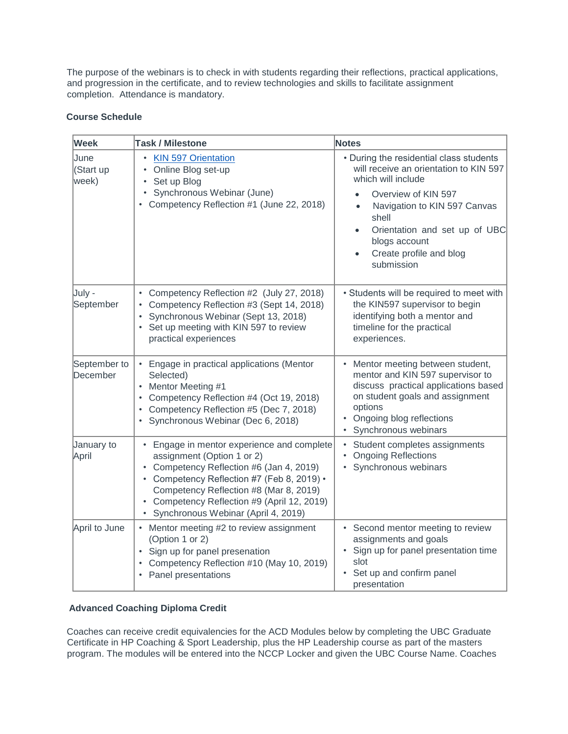The purpose of the webinars is to check in with students regarding their reflections, practical applications, and progression in the certificate, and to review technologies and skills to facilitate assignment completion. Attendance is mandatory.

# **Course Schedule**

| Week                       | <b>Task / Milestone</b>                                                                                                                                                                                                                                                                            | <b>Notes</b>                                                                                                                                                                                                                                                                                 |
|----------------------------|----------------------------------------------------------------------------------------------------------------------------------------------------------------------------------------------------------------------------------------------------------------------------------------------------|----------------------------------------------------------------------------------------------------------------------------------------------------------------------------------------------------------------------------------------------------------------------------------------------|
| June<br>(Start up<br>week) | <b>KIN 597 Orientation</b><br>Online Blog set-up<br>٠<br>Set up Blog<br>$\bullet$<br>• Synchronous Webinar (June)<br>• Competency Reflection #1 (June 22, 2018)                                                                                                                                    | • During the residential class students<br>will receive an orientation to KIN 597<br>which will include<br>Overview of KIN 597<br>Navigation to KIN 597 Canvas<br>$\bullet$<br>shell<br>Orientation and set up of UBC<br>blogs account<br>Create profile and blog<br>$\bullet$<br>submission |
| July -<br>September        | • Competency Reflection #2 (July 27, 2018)<br>Competency Reflection #3 (Sept 14, 2018)<br>Synchronous Webinar (Sept 13, 2018)<br>• Set up meeting with KIN 597 to review<br>practical experiences                                                                                                  | • Students will be required to meet with<br>the KIN597 supervisor to begin<br>identifying both a mentor and<br>timeline for the practical<br>experiences.                                                                                                                                    |
| September to<br>December   | • Engage in practical applications (Mentor<br>Selected)<br>• Mentor Meeting #1<br>Competency Reflection #4 (Oct 19, 2018)<br>• Competency Reflection #5 (Dec 7, 2018)<br>• Synchronous Webinar (Dec 6, 2018)                                                                                       | Mentor meeting between student,<br>mentor and KIN 597 supervisor to<br>discuss practical applications based<br>on student goals and assignment<br>options<br>• Ongoing blog reflections<br>• Synchronous webinars                                                                            |
| January to<br>April        | • Engage in mentor experience and complete<br>assignment (Option 1 or 2)<br>• Competency Reflection #6 (Jan 4, 2019)<br>• Competency Reflection #7 (Feb 8, 2019) •<br>Competency Reflection #8 (Mar 8, 2019)<br>• Competency Reflection #9 (April 12, 2019)<br>Synchronous Webinar (April 4, 2019) | • Student completes assignments<br><b>Ongoing Reflections</b><br>• Synchronous webinars                                                                                                                                                                                                      |
| April to June              | • Mentor meeting #2 to review assignment<br>(Option 1 or 2)<br>• Sign up for panel presenation<br>• Competency Reflection #10 (May 10, 2019)<br>• Panel presentations                                                                                                                              | • Second mentor meeting to review<br>assignments and goals<br>Sign up for panel presentation time<br>slot<br>Set up and confirm panel<br>presentation                                                                                                                                        |

# **Advanced Coaching Diploma Credit**

Coaches can receive credit equivalencies for the ACD Modules below by completing the UBC Graduate Certificate in HP Coaching & Sport Leadership, plus the HP Leadership course as part of the masters program. The modules will be entered into the NCCP Locker and given the UBC Course Name. Coaches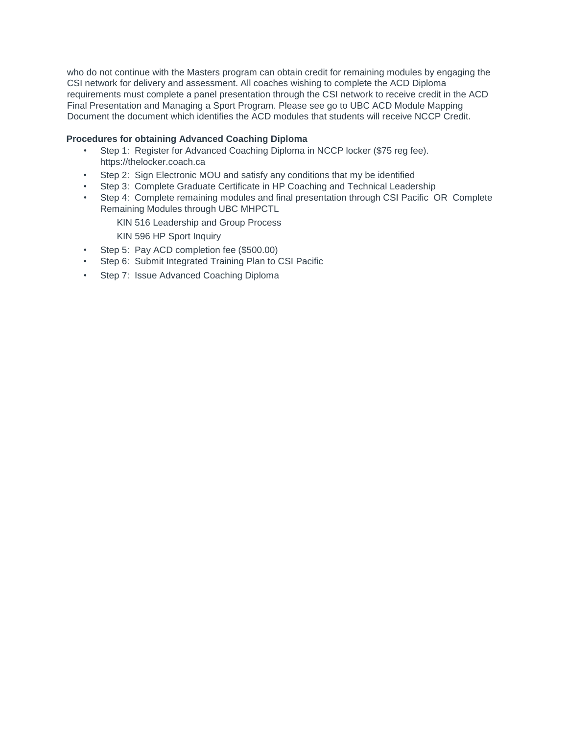who do not continue with the Masters program can obtain credit for remaining modules by engaging the CSI network for delivery and assessment. All coaches wishing to complete the ACD Diploma requirements must complete a panel presentation through the CSI network to receive credit in the ACD Final Presentation and Managing a Sport Program. Please see go to UBC ACD Module Mapping Document the document which identifies the ACD modules that students will receive NCCP Credit.

## **Procedures for obtaining Advanced Coaching Diploma**

- Step 1: Register for Advanced Coaching Diploma in NCCP locker (\$75 reg fee). https://thelocker.coach.ca
- Step 2: Sign Electronic MOU and satisfy any conditions that my be identified
- Step 3: Complete Graduate Certificate in HP Coaching and Technical Leadership
- Step 4: Complete remaining modules and final presentation through CSI Pacific OR Complete Remaining Modules through UBC MHPCTL
	- KIN 516 Leadership and Group Process
	- KIN 596 HP Sport Inquiry
- Step 5: Pay ACD completion fee (\$500.00)
- Step 6: Submit Integrated Training Plan to CSI Pacific
- Step 7: Issue Advanced Coaching Diploma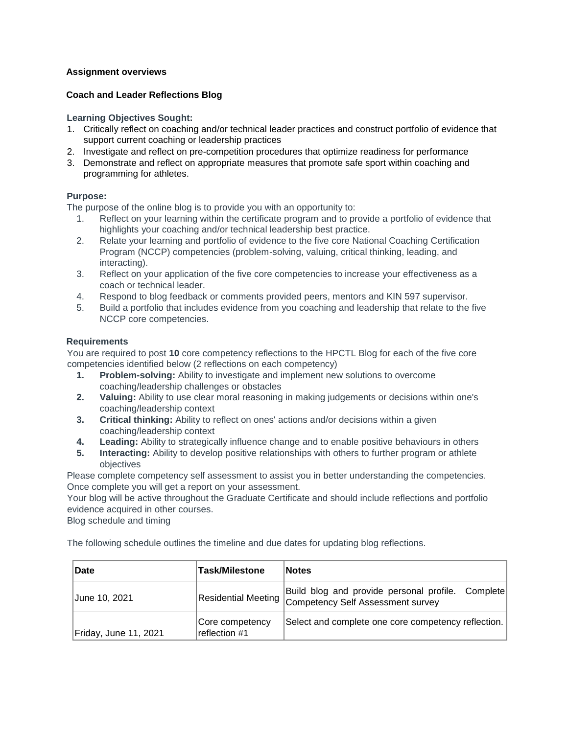# **Assignment overviews**

# **Coach and Leader Reflections Blog**

**Learning Objectives Sought:**

- 1. Critically reflect on coaching and/or technical leader practices and construct portfolio of evidence that support current coaching or leadership practices
- 2. Investigate and reflect on pre-competition procedures that optimize readiness for performance
- 3. Demonstrate and reflect on appropriate measures that promote safe sport within coaching and programming for athletes.

## **Purpose:**

The purpose of the online blog is to provide you with an opportunity to:

- 1. Reflect on your learning within the certificate program and to provide a portfolio of evidence that highlights your coaching and/or technical leadership best practice.
- 2. Relate your learning and portfolio of evidence to the five core National Coaching Certification Program (NCCP) competencies (problem-solving, valuing, critical thinking, leading, and interacting).
- 3. Reflect on your application of the five core competencies to increase your effectiveness as a coach or technical leader.
- 4. Respond to blog feedback or comments provided peers, mentors and KIN 597 supervisor.
- 5. Build a portfolio that includes evidence from you coaching and leadership that relate to the five NCCP core competencies.

## **Requirements**

You are required to post **10** core competency reflections to the HPCTL Blog for each of the five core competencies identified below (2 reflections on each competency)

- **1. Problem-solving:** Ability to investigate and implement new solutions to overcome coaching/leadership challenges or obstacles
- **2. Valuing:** Ability to use clear moral reasoning in making judgements or decisions within one's coaching/leadership context
- **3. Critical thinking:** Ability to reflect on ones' actions and/or decisions within a given coaching/leadership context
- **4. Leading:** Ability to strategically influence change and to enable positive behaviours in others
- **5. Interacting:** Ability to develop positive relationships with others to further program or athlete objectives

Please complete competency self assessment to assist you in better understanding the competencies. Once complete you will get a report on your assessment.

Your blog will be active throughout the Graduate Certificate and should include reflections and portfolio evidence acquired in other courses.

Blog schedule and timing

The following schedule outlines the timeline and due dates for updating blog reflections.

| Date                  | <b>Task/Milestone</b>            | <b>Notes</b>                                                                                               |
|-----------------------|----------------------------------|------------------------------------------------------------------------------------------------------------|
| June 10, 2021         |                                  | Build blog and provide personal profile. Complete<br>Residential Meeting Competency Self Assessment survey |
| Friday, June 11, 2021 | Core competency<br>reflection #1 | Select and complete one core competency reflection.                                                        |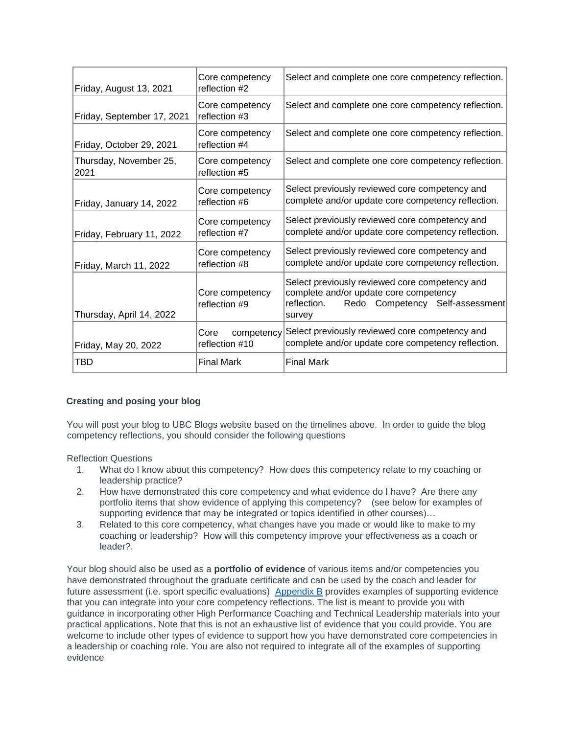| Friday, August 13, 2021        | Core competency<br>reflection #2     | Select and complete one core competency reflection.                                                                                                  |
|--------------------------------|--------------------------------------|------------------------------------------------------------------------------------------------------------------------------------------------------|
| Friday, September 17, 2021     | Core competency<br>reflection #3     | Select and complete one core competency reflection.                                                                                                  |
| Friday, October 29, 2021       | Core competency<br>reflection #4     | Select and complete one core competency reflection.                                                                                                  |
| Thursday, November 25,<br>2021 | Core competency<br>reflection #5     | Select and complete one core competency reflection.                                                                                                  |
| Friday, January 14, 2022       | Core competency<br>reflection #6     | Select previously reviewed core competency and<br>complete and/or update core competency reflection.                                                 |
| Friday, February 11, 2022      | Core competency<br>reflection #7     | Select previously reviewed core competency and<br>complete and/or update core competency reflection.                                                 |
| Friday, March 11, 2022         | Core competency<br>reflection #8     | Select previously reviewed core competency and<br>complete and/or update core competency reflection.                                                 |
| Thursday, April 14, 2022       | Core competency<br>reflection #9     | Select previously reviewed core competency and<br>complete and/or update core competency<br>Redo Competency Self-assessment<br>reflection.<br>survey |
| Friday, May 20, 2022           | competency<br>Core<br>reflection #10 | Select previously reviewed core competency and<br>complete and/or update core competency reflection.                                                 |
| TBD                            | <b>Final Mark</b>                    | <b>Final Mark</b>                                                                                                                                    |

# **Creating and posing your blog**

You will post your blog to UBC Blogs website based on the timelines above. In order to guide the blog competency reflections, you should consider the following questions

Reflection Questions

- 1. What do I know about this competency? How does this competency relate to my coaching or leadership practice?
- 2. How have demonstrated this core competency and what evidence do I have? Are there any portfolio items that show evidence of applying this competency? (see below for examples of supporting evidence that may be integrated or topics identified in other courses)…
- 3. Related to this core competency, what changes have you made or would like to make to my coaching or leadership? How will this competency improve your effectiveness as a coach or leader?.

Your blog should also be used as a **portfolio of evidence** of various items and/or competencies you have demonstrated throughout the graduate certificate and can be used by the coach and leader for future assessment (i.e. sport specific evaluations) Appendix B provides examples of supporting evidence that you can integrate into your core competency reflections. The list is meant to provide you with guidance in incorporating other High Performance Coaching and Technical Leadership materials into your practical applications. Note that this is not an exhaustive list of evidence that you could provide. You are welcome to include other types of evidence to support how you have demonstrated core competencies in a leadership or coaching role. You are also not required to integrate all of the examples of supporting evidence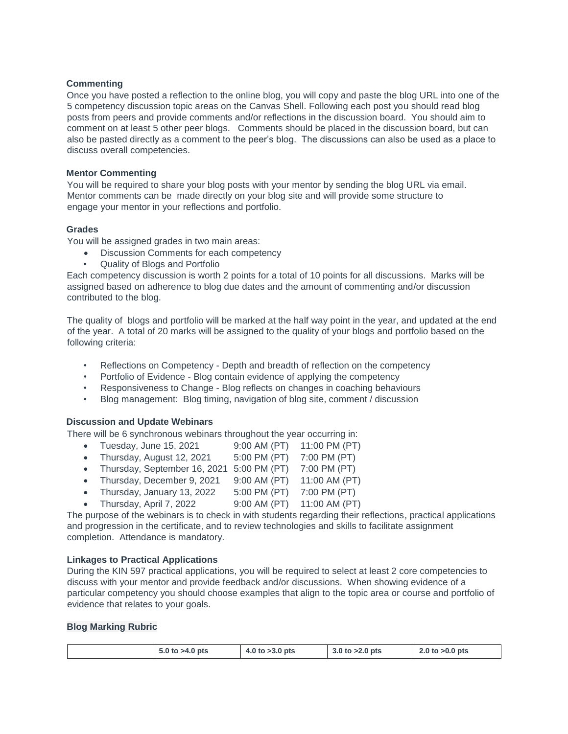## **Commenting**

Once you have posted a reflection to the online blog, you will copy and paste the blog URL into one of the 5 competency discussion topic areas on the Canvas Shell. Following each post you should read blog posts from peers and provide comments and/or reflections in the discussion board. You should aim to comment on at least 5 other peer blogs. Comments should be placed in the discussion board, but can also be pasted directly as a comment to the peer's blog. The discussions can also be used as a place to discuss overall competencies.

#### **Mentor Commenting**

You will be required to share your blog posts with your mentor by sending the blog URL via email. Mentor comments can be made directly on your blog site and will provide some structure to engage your mentor in your reflections and portfolio.

## **Grades**

You will be assigned grades in two main areas:

- Discussion Comments for each competency
- Quality of Blogs and Portfolio

Each competency discussion is worth 2 points for a total of 10 points for all discussions. Marks will be assigned based on adherence to blog due dates and the amount of commenting and/or discussion contributed to the blog.

The quality of blogs and portfolio will be marked at the half way point in the year, and updated at the end of the year. A total of 20 marks will be assigned to the quality of your blogs and portfolio based on the following criteria:

- Reflections on Competency Depth and breadth of reflection on the competency
- Portfolio of Evidence Blog contain evidence of applying the competency
- Responsiveness to Change Blog reflects on changes in coaching behaviours
- Blog management: Blog timing, navigation of blog site, comment / discussion

#### **Discussion and Update Webinars**

There will be 6 synchronous webinars throughout the year occurring in:

- Tuesday, June 15, 2021 9:00 AM (PT) 11:00 PM (PT)
- Thursday, August 12, 2021 5:00 PM (PT) 7:00 PM (PT)
- Thursday, September 16, 2021 5:00 PM (PT)  $7:00$  PM (PT)
- Thursday, December 9, 2021  $9:00$  AM (PT) 11:00 AM (PT)
- Thursday, January 13, 2022  $5:00 \text{ PM (PT)}$  7:00 PM (PT)
- Thursday, April 7, 2022 9:00 AM (PT) 11:00 AM (PT)

The purpose of the webinars is to check in with students regarding their reflections, practical applications and progression in the certificate, and to review technologies and skills to facilitate assignment completion. Attendance is mandatory.

#### **Linkages to Practical Applications**

During the KIN 597 practical applications, you will be required to select at least 2 core competencies to discuss with your mentor and provide feedback and/or discussions. When showing evidence of a particular competency you should choose examples that align to the topic area or course and portfolio of evidence that relates to your goals.

#### **Blog Marking Rubric**

| 5.0 to $>4.0$ pts | 4.0 to $>3.0$ pts | 3.0 to $>2.0$ pts | $2.0$ to $>0.0$ pts |
|-------------------|-------------------|-------------------|---------------------|
|-------------------|-------------------|-------------------|---------------------|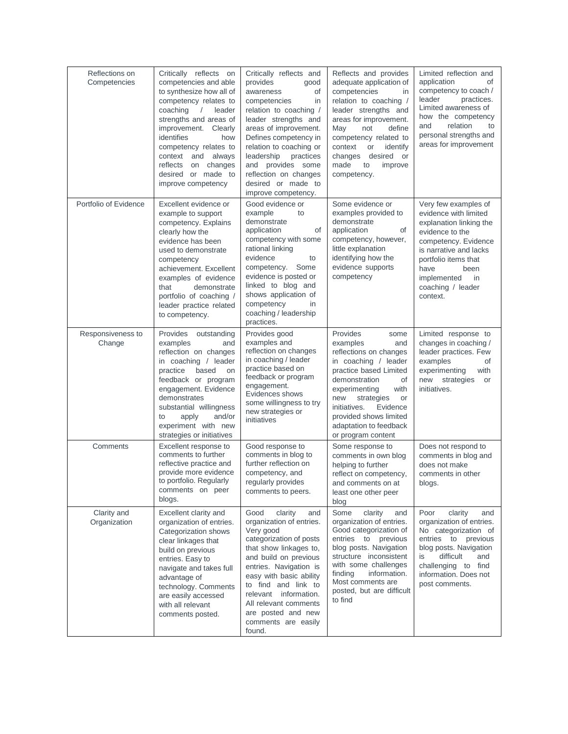| Reflections on<br>Competencies | Critically reflects on<br>competencies and able<br>to synthesize how all of<br>competency relates to<br>coaching<br>leader<br>$\sqrt{2}$<br>strengths and areas of<br>improvement. Clearly<br>identifies<br>how<br>competency relates to<br>context and<br>always<br>reflects<br>on changes<br>desired or made to<br>improve competency | Critically reflects and<br>provides<br>good<br>awareness<br>οf<br>competencies<br>in<br>relation to coaching /<br>leader strengths and<br>areas of improvement.<br>Defines competency in<br>relation to coaching or<br>leadership<br>practices<br>and provides some<br>reflection on changes<br>desired or made to<br>improve competency. | Reflects and provides<br>adequate application of<br>competencies<br>in<br>relation to coaching /<br>leader strengths and<br>areas for improvement.<br>May<br>not<br>define<br>competency related to<br>context<br>or<br>identify<br>desired or<br>changes<br>made<br>to<br>improve<br>competency. | Limited reflection and<br>application<br>of<br>competency to coach /<br>leader<br>practices.<br>Limited awareness of<br>how the competency<br>relation<br>and<br>to<br>personal strengths and<br>areas for improvement                       |
|--------------------------------|-----------------------------------------------------------------------------------------------------------------------------------------------------------------------------------------------------------------------------------------------------------------------------------------------------------------------------------------|-------------------------------------------------------------------------------------------------------------------------------------------------------------------------------------------------------------------------------------------------------------------------------------------------------------------------------------------|---------------------------------------------------------------------------------------------------------------------------------------------------------------------------------------------------------------------------------------------------------------------------------------------------|----------------------------------------------------------------------------------------------------------------------------------------------------------------------------------------------------------------------------------------------|
| Portfolio of Evidence          | Excellent evidence or<br>example to support<br>competency. Explains<br>clearly how the<br>evidence has been<br>used to demonstrate<br>competency<br>achievement. Excellent<br>examples of evidence<br>that<br>demonstrate<br>portfolio of coaching /<br>leader practice related<br>to competency.                                       | Good evidence or<br>example<br>to<br>demonstrate<br>application<br>of<br>competency with some<br>rational linking<br>evidence<br>to<br>competency.<br>Some<br>evidence is posted or<br>linked to blog and<br>shows application of<br>competency<br>in<br>coaching / leadership<br>practices.                                              | Some evidence or<br>examples provided to<br>demonstrate<br>application<br>of<br>competency, however,<br>little explanation<br>identifying how the<br>evidence supports<br>competency                                                                                                              | Very few examples of<br>evidence with limited<br>explanation linking the<br>evidence to the<br>competency. Evidence<br>is narrative and lacks<br>portfolio items that<br>have<br>been<br>implemented<br>in.<br>coaching / leader<br>context. |
| Responsiveness to<br>Change    | Provides<br>outstanding<br>examples<br>and<br>reflection on changes<br>in coaching / leader<br>practice<br>based<br>on<br>feedback or program<br>engagement. Evidence<br>demonstrates<br>substantial willingness<br>apply<br>and/or<br>to<br>experiment with new<br>strategies or initiatives                                           | Provides good<br>examples and<br>reflection on changes<br>in coaching / leader<br>practice based on<br>feedback or program<br>engagement.<br>Evidences shows<br>some willingness to try<br>new strategies or<br>initiatives                                                                                                               | Provides<br>some<br>examples<br>and<br>reflections on changes<br>in coaching / leader<br>practice based Limited<br>demonstration<br>of<br>with<br>experimenting<br>new<br>strategies<br>or<br>initiatives.<br>Evidence<br>provided shows limited<br>adaptation to feedback<br>or program content  | Limited response to<br>changes in coaching /<br>leader practices. Few<br>examples<br>οf<br>experimenting<br>with<br>strategies<br>new<br>or<br>initiatives.                                                                                  |
| Comments                       | Excellent response to<br>comments to further<br>reflective practice and<br>provide more evidence<br>to portfolio. Regularly<br>comments on peer<br>blogs.                                                                                                                                                                               | Good response to<br>comments in blog to<br>further reflection on<br>competency, and<br>regularly provides<br>comments to peers.                                                                                                                                                                                                           | Some response to<br>comments in own blog<br>helping to further<br>reflect on competency,<br>and comments on at<br>least one other peer<br>blog                                                                                                                                                    | Does not respond to<br>comments in blog and<br>does not make<br>comments in other<br>blogs.                                                                                                                                                  |
| Clarity and<br>Organization    | Excellent clarity and<br>organization of entries.<br>Categorization shows<br>clear linkages that<br>build on previous<br>entries. Easy to<br>navigate and takes full<br>advantage of<br>technology. Comments<br>are easily accessed<br>with all relevant<br>comments posted.                                                            | Good<br>clarity<br>and<br>organization of entries.<br>Very good<br>categorization of posts<br>that show linkages to,<br>and build on previous<br>entries. Navigation is<br>easy with basic ability<br>to find and link to<br>relevant information.<br>All relevant comments<br>are posted and new<br>comments are easily<br>found.        | Some<br>clarity<br>and<br>organization of entries.<br>Good categorization of<br>entries to previous<br>blog posts. Navigation<br>structure inconsistent<br>with some challenges<br>finding<br>information.<br>Most comments are<br>posted, but are difficult<br>to find                           | Poor<br>clarity<br>and<br>organization of entries.<br>No categorization of<br>entries to previous<br>blog posts. Navigation<br>difficult<br>and<br>is<br>challenging to<br>find<br>information. Does not<br>post comments.                   |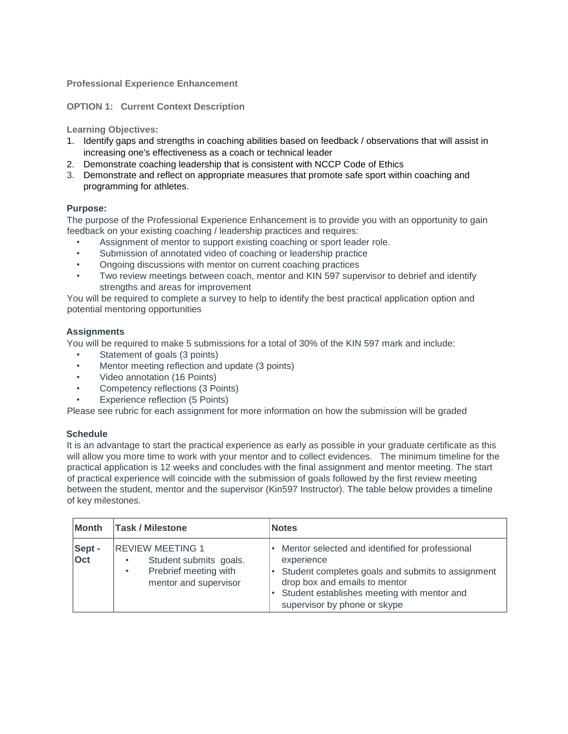## **Professional Experience Enhancement**

#### **OPTION 1: Current Context Description**

**Learning Objectives:**

- 1. Identify gaps and strengths in coaching abilities based on feedback / observations that will assist in increasing one's effectiveness as a coach or technical leader
- 2. Demonstrate coaching leadership that is consistent with NCCP Code of Ethics
- 3. Demonstrate and reflect on appropriate measures that promote safe sport within coaching and programming for athletes.

## **Purpose:**

The purpose of the Professional Experience Enhancement is to provide you with an opportunity to gain feedback on your existing coaching / leadership practices and requires:

- Assignment of mentor to support existing coaching or sport leader role.
- Submission of annotated video of coaching or leadership practice
- Ongoing discussions with mentor on current coaching practices
- Two review meetings between coach, mentor and KIN 597 supervisor to debrief and identify strengths and areas for improvement

You will be required to complete a survey to help to identify the best practical application option and potential mentoring opportunities

## **Assignments**

You will be required to make 5 submissions for a total of 30% of the KIN 597 mark and include:

- Statement of goals (3 points)
- Mentor meeting reflection and update (3 points)
- Video annotation (16 Points)
- Competency reflections (3 Points)
- Experience reflection (5 Points)

Please see rubric for each assignment for more information on how the submission will be graded

#### **Schedule**

It is an advantage to start the practical experience as early as possible in your graduate certificate as this will allow you more time to work with your mentor and to collect evidences. The minimum timeline for the practical application is 12 weeks and concludes with the final assignment and mentor meeting. The start of practical experience will coincide with the submission of goals followed by the first review meeting between the student, mentor and the supervisor (Kin597 Instructor). The table below provides a timeline of key milestones.

| Month         | <b>Task / Milestone</b>                                                                                          | <b>Notes</b>                                                                                                                                                                                                                       |  |
|---------------|------------------------------------------------------------------------------------------------------------------|------------------------------------------------------------------------------------------------------------------------------------------------------------------------------------------------------------------------------------|--|
| Sept -<br>Oct | <b>REVIEW MEETING 1</b><br>Student submits goals.<br>Prebrief meeting with<br>$\bullet$<br>mentor and supervisor | Mentor selected and identified for professional<br>experience<br>Student completes goals and submits to assignment<br>drop box and emails to mentor<br>Student establishes meeting with mentor and<br>supervisor by phone or skype |  |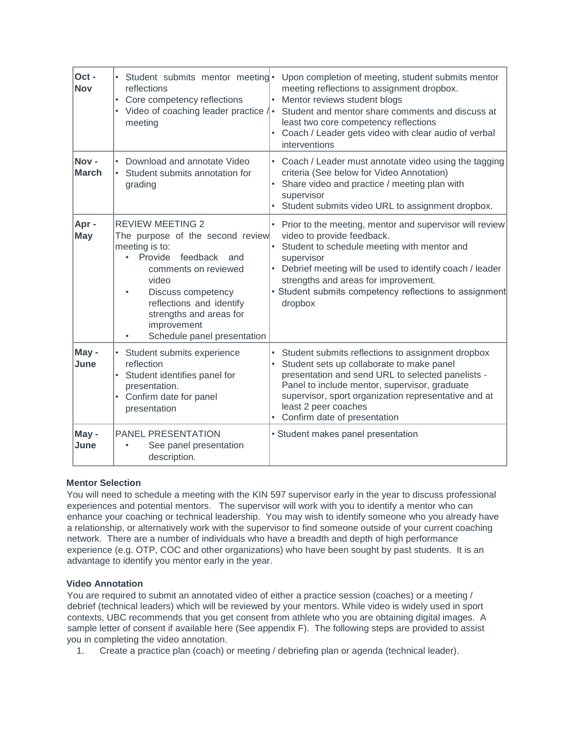| Oct-<br><b>Nov</b>   | • Student submits mentor meeting •<br>reflections<br>Core competency reflections<br>• Video of coaching leader practice / •<br>meeting                                                                                                                                                                      | Upon completion of meeting, student submits mentor<br>meeting reflections to assignment dropbox.<br>Mentor reviews student blogs<br>Student and mentor share comments and discuss at<br>least two core competency reflections<br>Coach / Leader gets video with clear audio of verbal<br>$\bullet$<br>interventions                            |
|----------------------|-------------------------------------------------------------------------------------------------------------------------------------------------------------------------------------------------------------------------------------------------------------------------------------------------------------|------------------------------------------------------------------------------------------------------------------------------------------------------------------------------------------------------------------------------------------------------------------------------------------------------------------------------------------------|
| Nov-<br><b>March</b> | Download and annotate Video<br>Student submits annotation for<br>grading                                                                                                                                                                                                                                    | $\bullet$<br>Coach / Leader must annotate video using the tagging<br>criteria (See below for Video Annotation)<br>Share video and practice / meeting plan with<br>supervisor<br>Student submits video URL to assignment dropbox.                                                                                                               |
| Apr-<br><b>May</b>   | <b>REVIEW MEETING 2</b><br>The purpose of the second review<br>meeting is to:<br>Provide<br>feedback and<br>$\bullet$<br>comments on reviewed<br>video<br>Discuss competency<br>$\bullet$<br>reflections and identify<br>strengths and areas for<br>improvement<br>Schedule panel presentation<br>$\bullet$ | Prior to the meeting, mentor and supervisor will review<br>$\bullet$<br>video to provide feedback.<br>Student to schedule meeting with mentor and<br>supervisor<br>Debrief meeting will be used to identify coach / leader<br>strengths and areas for improvement.<br>• Student submits competency reflections to assignment<br>dropbox        |
| May -<br>June        | • Student submits experience<br>reflection<br>• Student identifies panel for<br>presentation.<br>• Confirm date for panel<br>presentation                                                                                                                                                                   | Student submits reflections to assignment dropbox<br>$\bullet$<br>Student sets up collaborate to make panel<br>$\bullet$<br>presentation and send URL to selected panelists -<br>Panel to include mentor, supervisor, graduate<br>supervisor, sport organization representative and at<br>least 2 peer coaches<br>Confirm date of presentation |
| May -<br>June        | <b>PANEL PRESENTATION</b><br>See panel presentation<br>$\bullet$<br>description.                                                                                                                                                                                                                            | • Student makes panel presentation                                                                                                                                                                                                                                                                                                             |

# **Mentor Selection**

You will need to schedule a meeting with the KIN 597 supervisor early in the year to discuss professional experiences and potential mentors. The supervisor will work with you to identify a mentor who can enhance your coaching or technical leadership. You may wish to identify someone who you already have a relationship, or alternatively work with the supervisor to find someone outside of your current coaching network. There are a number of individuals who have a breadth and depth of high performance experience (e.g. OTP, COC and other organizations) who have been sought by past students. It is an advantage to identify you mentor early in the year.

# **Video Annotation**

You are required to submit an annotated video of either a practice session (coaches) or a meeting / debrief (technical leaders) which will be reviewed by your mentors. While video is widely used in sport contexts, UBC recommends that you get consent from athlete who you are obtaining digital images. A sample letter of consent if available here (See appendix F). The following steps are provided to assist you in completing the video annotation.

1. Create a practice plan (coach) or meeting / debriefing plan or agenda (technical leader).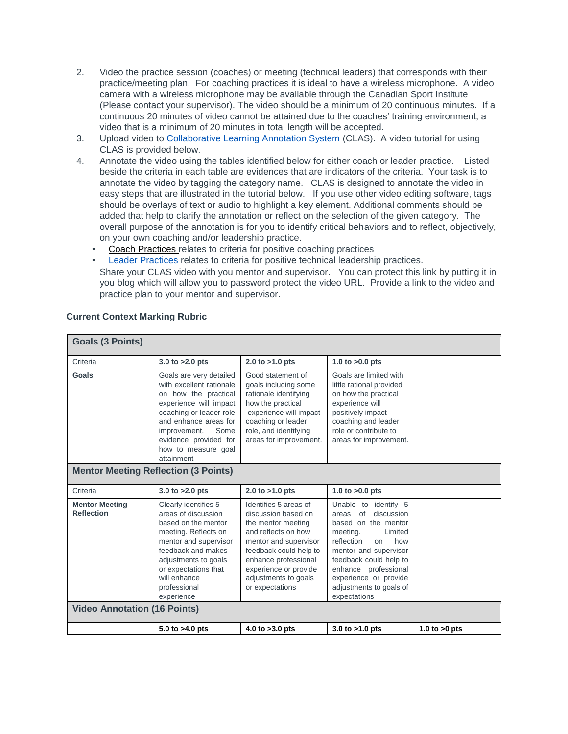- 2. Video the practice session (coaches) or meeting (technical leaders) that corresponds with their practice/meeting plan. For coaching practices it is ideal to have a wireless microphone. A video camera with a wireless microphone may be available through the Canadian Sport Institute (Please contact your supervisor). The video should be a minimum of 20 continuous minutes. If a continuous 20 minutes of video cannot be attained due to the coaches' training environment, a video that is a minimum of 20 minutes in total length will be accepted.
- 3. Upload video to [Collaborative Learning Annotation System](http://clas.ubc.ca/ed?cid=103) [\(](http://clas.ubc.ca/ed?cid=103)CLAS). A video tutorial for using CLAS is provided below.
- 4. Annotate the video using the tables identified below for either coach or leader practice. Listed beside the criteria in each table are evidences that are indicators of the criteria. Your task is to annotate the video by tagging the category name. CLAS is designed to annotate the video in easy steps that are illustrated in the tutorial below. If you use other video editing software, tags should be overlays of text or audio to highlight a key element. Additional comments should be added that help to clarify the annotation or reflect on the selection of the given category. The overall purpose of the annotation is for you to identify critical behaviors and to reflect, objectively, on your own coaching and/or leadership practice.
	- Coach Practices relates to criteria for positive coaching practices
	- Leader Practices relates to criteria for positive technical leadership practices. Share your CLAS video with you mentor and supervisor. You can protect this link by putting it in you blog which will allow you to password protect the video URL. Provide a link to the video and practice plan to your mentor and supervisor.

| <b>Goals (3 Points)</b>                     |                                                                                                                                                                                                                                                 |                                                                                                                                                                                                                                          |                                                                                                                                                                                                                                                                           |                 |  |
|---------------------------------------------|-------------------------------------------------------------------------------------------------------------------------------------------------------------------------------------------------------------------------------------------------|------------------------------------------------------------------------------------------------------------------------------------------------------------------------------------------------------------------------------------------|---------------------------------------------------------------------------------------------------------------------------------------------------------------------------------------------------------------------------------------------------------------------------|-----------------|--|
| Criteria                                    | 3.0 to $>2.0$ pts                                                                                                                                                                                                                               | 2.0 to $>1.0$ pts                                                                                                                                                                                                                        | 1.0 to $>0.0$ pts                                                                                                                                                                                                                                                         |                 |  |
| Goals                                       | Goals are very detailed<br>with excellent rationale<br>on how the practical<br>experience will impact<br>coaching or leader role<br>and enhance areas for<br>improvement.<br>Some<br>evidence provided for<br>how to measure goal<br>attainment | Good statement of<br>goals including some<br>rationale identifying<br>how the practical<br>experience will impact<br>coaching or leader<br>role, and identifying<br>areas for improvement.                                               | Goals are limited with<br>little rational provided<br>on how the practical<br>experience will<br>positively impact<br>coaching and leader<br>role or contribute to<br>areas for improvement.                                                                              |                 |  |
| <b>Mentor Meeting Reflection (3 Points)</b> |                                                                                                                                                                                                                                                 |                                                                                                                                                                                                                                          |                                                                                                                                                                                                                                                                           |                 |  |
| Criteria                                    | 3.0 to $>2.0$ pts                                                                                                                                                                                                                               | 2.0 to $>1.0$ pts                                                                                                                                                                                                                        | 1.0 to $>0.0$ pts                                                                                                                                                                                                                                                         |                 |  |
| <b>Mentor Meeting</b><br><b>Reflection</b>  | Clearly identifies 5<br>areas of discussion<br>based on the mentor<br>meeting. Reflects on<br>mentor and supervisor<br>feedback and makes<br>adjustments to goals<br>or expectations that<br>will enhance<br>professional<br>experience         | Identifies 5 areas of<br>discussion based on<br>the mentor meeting<br>and reflects on how<br>mentor and supervisor<br>feedback could help to<br>enhance professional<br>experience or provide<br>adjustments to goals<br>or expectations | Unable to identify 5<br>of<br>discussion<br>areas<br>based on the mentor<br>meeting.<br>Limited<br>reflection<br>how<br>on<br>mentor and supervisor<br>feedback could help to<br>enhance professional<br>experience or provide<br>adjustments to goals of<br>expectations |                 |  |
| <b>Video Annotation (16 Points)</b>         |                                                                                                                                                                                                                                                 |                                                                                                                                                                                                                                          |                                                                                                                                                                                                                                                                           |                 |  |
|                                             | 5.0 to >4.0 pts                                                                                                                                                                                                                                 | 4.0 to $>3.0$ pts                                                                                                                                                                                                                        | 3.0 to $>1.0$ pts                                                                                                                                                                                                                                                         | 1.0 to $>0$ pts |  |

# **Current Context Marking Rubric**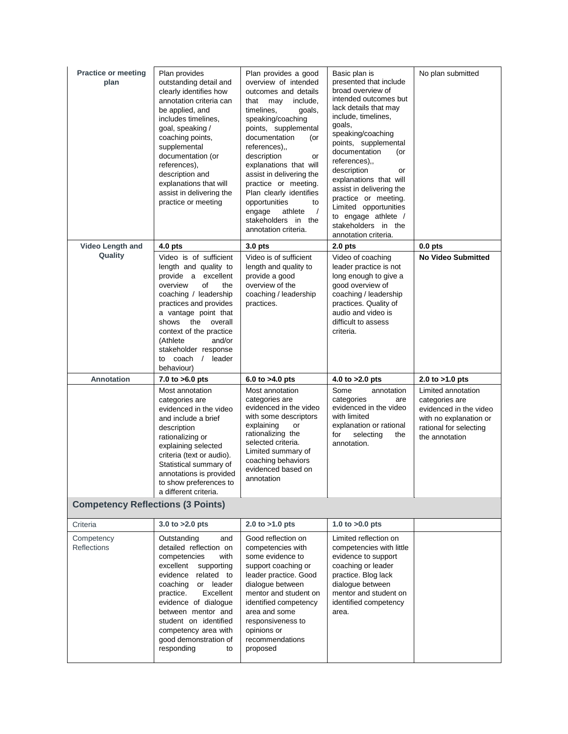| <b>Practice or meeting</b><br>plan       | Plan provides<br>outstanding detail and<br>clearly identifies how<br>annotation criteria can<br>be applied, and<br>includes timelines,<br>goal, speaking /<br>coaching points,<br>supplemental<br>documentation (or<br>references),<br>description and<br>explanations that will<br>assist in delivering the<br>practice or meeting | Plan provides a good<br>overview of intended<br>outcomes and details<br>include,<br>that<br>may<br>timelines,<br>goals,<br>speaking/coaching<br>points, supplemental<br>documentation<br>(or<br>references),,<br>description<br>or<br>explanations that will<br>assist in delivering the<br>practice or meeting.<br>Plan clearly identifies<br>opportunities<br>to<br>engage<br>athlete<br>$\prime$<br>stakeholders in the<br>annotation criteria. | Basic plan is<br>presented that include<br>broad overview of<br>intended outcomes but<br>lack details that may<br>include, timelines,<br>goals,<br>speaking/coaching<br>points, supplemental<br>documentation<br>(or<br>references),,<br>description<br>or<br>explanations that will<br>assist in delivering the<br>practice or meeting.<br>Limited opportunities<br>to engage athlete /<br>stakeholders in the<br>annotation criteria. | No plan submitted                                                                                                                    |
|------------------------------------------|-------------------------------------------------------------------------------------------------------------------------------------------------------------------------------------------------------------------------------------------------------------------------------------------------------------------------------------|----------------------------------------------------------------------------------------------------------------------------------------------------------------------------------------------------------------------------------------------------------------------------------------------------------------------------------------------------------------------------------------------------------------------------------------------------|-----------------------------------------------------------------------------------------------------------------------------------------------------------------------------------------------------------------------------------------------------------------------------------------------------------------------------------------------------------------------------------------------------------------------------------------|--------------------------------------------------------------------------------------------------------------------------------------|
| <b>Video Length and</b>                  | $4.0$ pts                                                                                                                                                                                                                                                                                                                           | 3.0 pts                                                                                                                                                                                                                                                                                                                                                                                                                                            | 2.0 <sub>pts</sub>                                                                                                                                                                                                                                                                                                                                                                                                                      | $0.0$ pts                                                                                                                            |
| Quality                                  | Video is of sufficient<br>length and quality to<br>provide a excellent<br>overview<br>of<br>the<br>coaching / leadership<br>practices and provides<br>a vantage point that<br>shows<br>the<br>overall<br>context of the practice<br>and/or<br>(Athlete<br>stakeholder response<br>to coach / leader<br>behaviour)                   | Video is of sufficient<br>length and quality to<br>provide a good<br>overview of the<br>coaching / leadership<br>practices.                                                                                                                                                                                                                                                                                                                        | Video of coaching<br>leader practice is not<br>long enough to give a<br>good overview of<br>coaching / leadership<br>practices. Quality of<br>audio and video is<br>difficult to assess<br>criteria.                                                                                                                                                                                                                                    | <b>No Video Submitted</b>                                                                                                            |
| <b>Annotation</b>                        | 7.0 to $>6.0$ pts                                                                                                                                                                                                                                                                                                                   | 6.0 to $>4.0$ pts                                                                                                                                                                                                                                                                                                                                                                                                                                  | 4.0 to $>2.0$ pts                                                                                                                                                                                                                                                                                                                                                                                                                       | 2.0 to $>1.0$ pts                                                                                                                    |
|                                          | Most annotation<br>categories are<br>evidenced in the video<br>and include a brief<br>description<br>rationalizing or<br>explaining selected<br>criteria (text or audio).<br>Statistical summary of<br>annotations is provided<br>to show preferences to<br>a different criteria.                                                   | Most annotation<br>categories are<br>evidenced in the video<br>with some descriptors<br>explaining<br>or<br>rationalizing the<br>selected criteria.<br>Limited summary of<br>coaching behaviors<br>evidenced based on<br>annotation                                                                                                                                                                                                                | Some<br>annotation<br>categories<br>are<br>evidenced in the video<br>with limited<br>explanation or rational<br>for<br>selecting<br>the<br>annotation.                                                                                                                                                                                                                                                                                  | Limited annotation<br>categories are<br>evidenced in the video<br>with no explanation or<br>rational for selecting<br>the annotation |
| <b>Competency Reflections (3 Points)</b> |                                                                                                                                                                                                                                                                                                                                     |                                                                                                                                                                                                                                                                                                                                                                                                                                                    |                                                                                                                                                                                                                                                                                                                                                                                                                                         |                                                                                                                                      |
| Criteria                                 | 3.0 to $>2.0$ pts                                                                                                                                                                                                                                                                                                                   | 2.0 to $>1.0$ pts                                                                                                                                                                                                                                                                                                                                                                                                                                  | 1.0 to $>0.0$ pts                                                                                                                                                                                                                                                                                                                                                                                                                       |                                                                                                                                      |
| Competency<br><b>Reflections</b>         | Outstanding<br>and<br>detailed reflection on<br>competencies<br>with<br>excellent<br>supporting<br>evidence<br>related to<br>coaching<br>or leader<br>practice.<br>Excellent<br>evidence of dialogue<br>between mentor and<br>student on identified<br>competency area with<br>good demonstration of<br>responding<br>to            | Good reflection on<br>competencies with<br>some evidence to<br>support coaching or<br>leader practice. Good<br>dialoque between<br>mentor and student on<br>identified competency<br>area and some<br>responsiveness to<br>opinions or<br>recommendations<br>proposed                                                                                                                                                                              | Limited reflection on<br>competencies with little<br>evidence to support<br>coaching or leader<br>practice. Blog lack<br>dialoque between<br>mentor and student on<br>identified competency<br>area.                                                                                                                                                                                                                                    |                                                                                                                                      |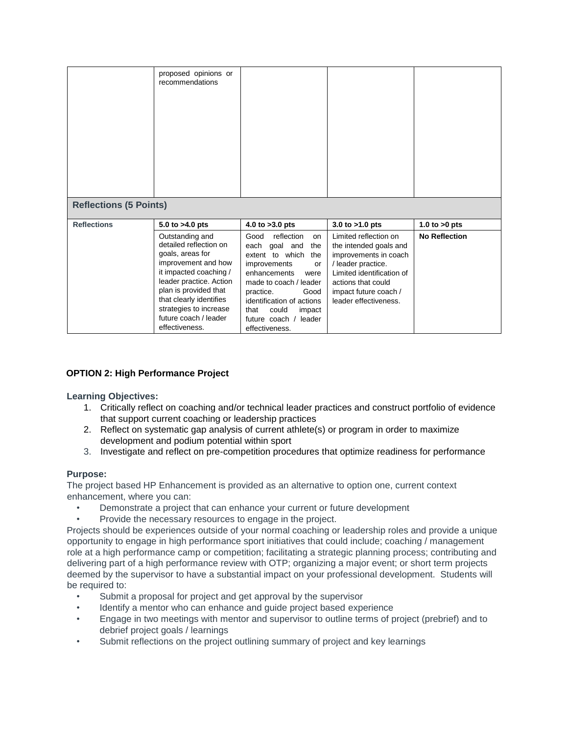|                               | proposed opinions or<br>recommendations                                                                                                                                                                                                                            |                                                                                                                                                                                                                                                                               |                                                                                                                                                                                                     |                      |
|-------------------------------|--------------------------------------------------------------------------------------------------------------------------------------------------------------------------------------------------------------------------------------------------------------------|-------------------------------------------------------------------------------------------------------------------------------------------------------------------------------------------------------------------------------------------------------------------------------|-----------------------------------------------------------------------------------------------------------------------------------------------------------------------------------------------------|----------------------|
| <b>Reflections (5 Points)</b> |                                                                                                                                                                                                                                                                    |                                                                                                                                                                                                                                                                               |                                                                                                                                                                                                     |                      |
| <b>Reflections</b>            | 5.0 to $>4.0$ pts                                                                                                                                                                                                                                                  | 4.0 to $>3.0$ pts                                                                                                                                                                                                                                                             | 3.0 to $>1.0$ pts                                                                                                                                                                                   | 1.0 to $>0$ pts      |
|                               | Outstanding and<br>detailed reflection on<br>goals, areas for<br>improvement and how<br>it impacted coaching /<br>leader practice. Action<br>plan is provided that<br>that clearly identifies<br>strategies to increase<br>future coach / leader<br>effectiveness. | Good<br>reflection<br>on<br>goal and<br>the<br>each<br>extent to which<br>the<br>improvements<br>or<br>enhancements<br>were<br>made to coach / leader<br>Good<br>practice.<br>identification of actions<br>that<br>could<br>impact<br>future coach / leader<br>effectiveness. | Limited reflection on<br>the intended goals and<br>improvements in coach<br>/ leader practice.<br>Limited identification of<br>actions that could<br>impact future coach /<br>leader effectiveness. | <b>No Reflection</b> |

# **OPTION 2: High Performance Project**

**Learning Objectives:**

- 1. Critically reflect on coaching and/or technical leader practices and construct portfolio of evidence that support current coaching or leadership practices
- 2. Reflect on systematic gap analysis of current athlete(s) or program in order to maximize development and podium potential within sport
- 3. Investigate and reflect on pre-competition procedures that optimize readiness for performance

# **Purpose:**

The project based HP Enhancement is provided as an alternative to option one, current context enhancement, where you can:

- Demonstrate a project that can enhance your current or future development
- Provide the necessary resources to engage in the project.

Projects should be experiences outside of your normal coaching or leadership roles and provide a unique opportunity to engage in high performance sport initiatives that could include; coaching / management role at a high performance camp or competition; facilitating a strategic planning process; contributing and delivering part of a high performance review with OTP; organizing a major event; or short term projects deemed by the supervisor to have a substantial impact on your professional development. Students will be required to:

- Submit a proposal for project and get approval by the supervisor
- Identify a mentor who can enhance and guide project based experience
- Engage in two meetings with mentor and supervisor to outline terms of project (prebrief) and to debrief project goals / learnings
- Submit reflections on the project outlining summary of project and key learnings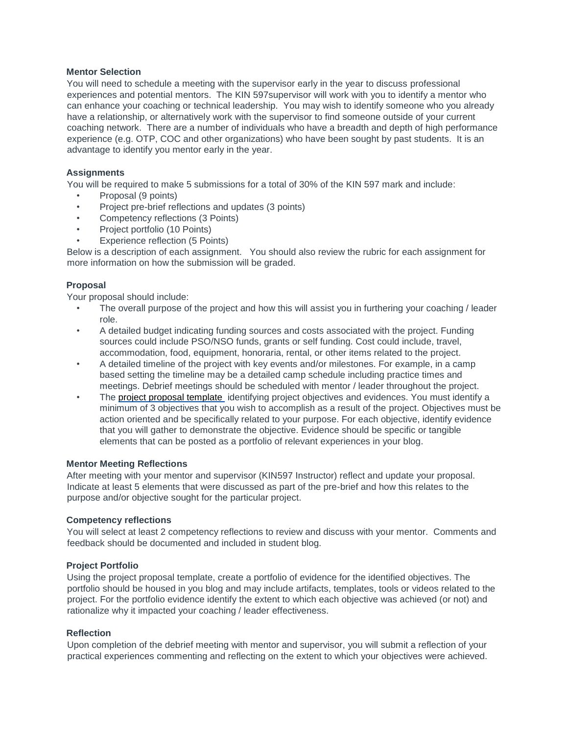## **Mentor Selection**

You will need to schedule a meeting with the supervisor early in the year to discuss professional experiences and potential mentors. The KIN 597supervisor will work with you to identify a mentor who can enhance your coaching or technical leadership. You may wish to identify someone who you already have a relationship, or alternatively work with the supervisor to find someone outside of your current coaching network. There are a number of individuals who have a breadth and depth of high performance experience (e.g. OTP, COC and other organizations) who have been sought by past students. It is an advantage to identify you mentor early in the year.

## **Assignments**

You will be required to make 5 submissions for a total of 30% of the KIN 597 mark and include:

- Proposal (9 points)
- Project pre-brief reflections and updates (3 points)
- Competency reflections (3 Points)
- Project portfolio (10 Points)
- Experience reflection (5 Points)

Below is a description of each assignment. You should also review the rubric for each assignment for more information on how the submission will be graded.

# **Proposal**

Your proposal should include:

- The overall purpose of the project and how this will assist you in furthering your coaching / leader role.
- A detailed budget indicating funding sources and costs associated with the project. Funding sources could include PSO/NSO funds, grants or self funding. Cost could include, travel, accommodation, food, equipment, honoraria, rental, or other items related to the project.
- A detailed timeline of the project with key events and/or milestones. For example, in a camp based setting the timeline may be a detailed camp schedule including practice times and meetings. Debrief meetings should be scheduled with mentor / leader throughout the project.
- The project proposal template identifying project objectives and evidences. You must identify a minimum of 3 objectives that you wish to accomplish as a result of the project. Objectives must be action oriented and be specifically related to your purpose. For each objective, identify evidence that you will gather to demonstrate the objective. Evidence should be specific or tangible elements that can be posted as a portfolio of relevant experiences in your blog.

#### **Mentor Meeting Reflections**

After meeting with your mentor and supervisor (KIN597 Instructor) reflect and update your proposal. Indicate at least 5 elements that were discussed as part of the pre-brief and how this relates to the purpose and/or objective sought for the particular project.

#### **Competency reflections**

You will select at least 2 competency reflections to review and discuss with your mentor. Comments and feedback should be documented and included in student blog.

#### **Project Portfolio**

Using the project proposal template, create a portfolio of evidence for the identified objectives. The portfolio should be housed in you blog and may include artifacts, templates, tools or videos related to the project. For the portfolio evidence identify the extent to which each objective was achieved (or not) and rationalize why it impacted your coaching / leader effectiveness.

#### **Reflection**

Upon completion of the debrief meeting with mentor and supervisor, you will submit a reflection of your practical experiences commenting and reflecting on the extent to which your objectives were achieved.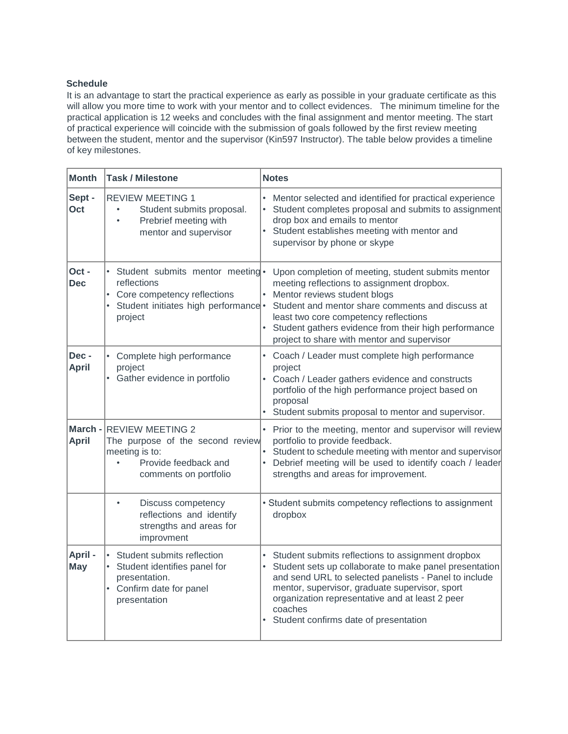# **Schedule**

It is an advantage to start the practical experience as early as possible in your graduate certificate as this will allow you more time to work with your mentor and to collect evidences. The minimum timeline for the practical application is 12 weeks and concludes with the final assignment and mentor meeting. The start of practical experience will coincide with the submission of goals followed by the first review meeting between the student, mentor and the supervisor (Kin597 Instructor). The table below provides a timeline of key milestones.

| <b>Month</b>            | <b>Task / Milestone</b>                                                                                                                        | <b>Notes</b>                                                                                                                                                                                                                                                                                                                           |
|-------------------------|------------------------------------------------------------------------------------------------------------------------------------------------|----------------------------------------------------------------------------------------------------------------------------------------------------------------------------------------------------------------------------------------------------------------------------------------------------------------------------------------|
| Sept -<br>Oct           | <b>REVIEW MEETING 1</b><br>Student submits proposal.<br>$\bullet$<br>Prebrief meeting with<br>$\bullet$<br>mentor and supervisor               | Mentor selected and identified for practical experience<br>Student completes proposal and submits to assignment<br>drop box and emails to mentor<br>Student establishes meeting with mentor and<br>supervisor by phone or skype                                                                                                        |
| Oct-<br><b>Dec</b>      | Student submits mentor meeting ·<br>reflections<br>Core competency reflections<br>Student initiates high performance .<br>$\bullet$<br>project | Upon completion of meeting, student submits mentor<br>meeting reflections to assignment dropbox.<br>Mentor reviews student blogs<br>Student and mentor share comments and discuss at<br>least two core competency reflections<br>• Student gathers evidence from their high performance<br>project to share with mentor and supervisor |
| Dec-<br><b>April</b>    | Complete high performance<br>project<br>Gather evidence in portfolio<br>$\bullet$                                                              | • Coach / Leader must complete high performance<br>project<br>Coach / Leader gathers evidence and constructs<br>portfolio of the high performance project based on<br>proposal<br>• Student submits proposal to mentor and supervisor.                                                                                                 |
| March -<br><b>April</b> | <b>REVIEW MEETING 2</b><br>The purpose of the second review<br>meeting is to:<br>Provide feedback and<br>comments on portfolio                 | • Prior to the meeting, mentor and supervisor will review<br>portfolio to provide feedback.<br>Student to schedule meeting with mentor and supervisor<br>• Debrief meeting will be used to identify coach / leader<br>strengths and areas for improvement.                                                                             |
|                         | Discuss competency<br>reflections and identify<br>strengths and areas for<br>improvment                                                        | • Student submits competency reflections to assignment<br>dropbox                                                                                                                                                                                                                                                                      |
| April-<br><b>May</b>    | Student submits reflection<br>Student identifies panel for<br>presentation.<br>Confirm date for panel<br>٠<br>presentation                     | Student submits reflections to assignment dropbox<br>Student sets up collaborate to make panel presentation<br>and send URL to selected panelists - Panel to include<br>mentor, supervisor, graduate supervisor, sport<br>organization representative and at least 2 peer<br>coaches<br>Student confirms date of presentation          |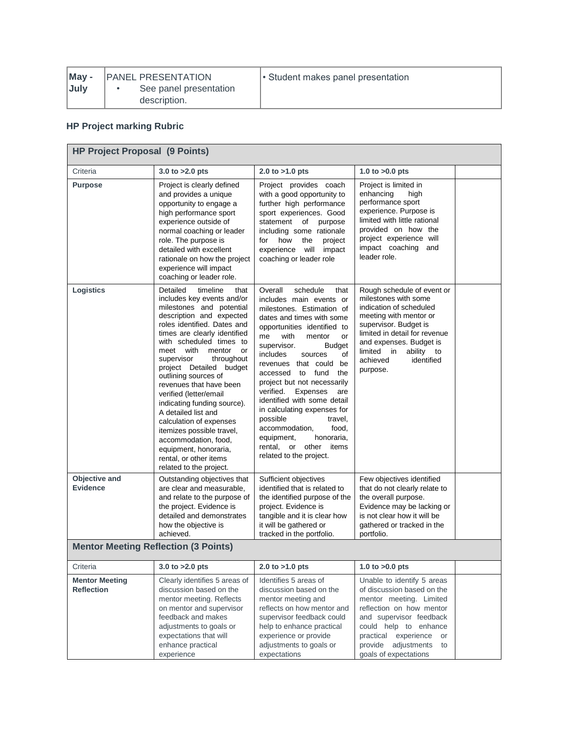| May - | <b>IPANEL PRESENTATION</b> | • Student makes panel presentation |
|-------|----------------------------|------------------------------------|
| July  | See panel presentation     |                                    |
|       | description.               |                                    |

# **HP Project marking Rubric**

| <b>HP Project Proposal (9 Points)</b>                                           |                                                                                                                                                                                                                                                                                                                                                                                                                                                                                                                                                                                                      |                                                                                                                                                                                                                                                                                                                                                                                                                                                                                                                                                                    |                                                                                                                                                                                                                                                                |  |  |
|---------------------------------------------------------------------------------|------------------------------------------------------------------------------------------------------------------------------------------------------------------------------------------------------------------------------------------------------------------------------------------------------------------------------------------------------------------------------------------------------------------------------------------------------------------------------------------------------------------------------------------------------------------------------------------------------|--------------------------------------------------------------------------------------------------------------------------------------------------------------------------------------------------------------------------------------------------------------------------------------------------------------------------------------------------------------------------------------------------------------------------------------------------------------------------------------------------------------------------------------------------------------------|----------------------------------------------------------------------------------------------------------------------------------------------------------------------------------------------------------------------------------------------------------------|--|--|
| Criteria                                                                        | 3.0 to $>2.0$ pts                                                                                                                                                                                                                                                                                                                                                                                                                                                                                                                                                                                    | 2.0 to $>1.0$ pts                                                                                                                                                                                                                                                                                                                                                                                                                                                                                                                                                  | 1.0 to $>0.0$ pts                                                                                                                                                                                                                                              |  |  |
| <b>Purpose</b>                                                                  | Project is clearly defined<br>and provides a unique<br>opportunity to engage a<br>high performance sport<br>experience outside of<br>normal coaching or leader<br>role. The purpose is<br>detailed with excellent<br>rationale on how the project<br>experience will impact<br>coaching or leader role.                                                                                                                                                                                                                                                                                              | Project provides coach<br>with a good opportunity to<br>further high performance<br>sport experiences. Good<br>statement<br>of<br>purpose<br>including some rationale<br>how<br>the<br>for<br>project<br>experience will<br>impact<br>coaching or leader role                                                                                                                                                                                                                                                                                                      | Project is limited in<br>enhancing<br>high<br>performance sport<br>experience. Purpose is<br>limited with little rational<br>provided on how the<br>project experience will<br>impact coaching<br>and<br>leader role.                                          |  |  |
| <b>Logistics</b>                                                                | Detailed<br>timeline<br>that<br>includes key events and/or<br>milestones and potential<br>description and expected<br>roles identified. Dates and<br>times are clearly identified<br>with scheduled times to<br>meet with<br>mentor<br>or<br>supervisor<br>throughout<br>project Detailed<br>budget<br>outlining sources of<br>revenues that have been<br>verified (letter/email<br>indicating funding source).<br>A detailed list and<br>calculation of expenses<br>itemizes possible travel,<br>accommodation, food,<br>equipment, honoraria,<br>rental, or other items<br>related to the project. | Overall<br>schedule<br>that<br>includes main events or<br>milestones. Estimation of<br>dates and times with some<br>opportunities identified to<br>with<br>me<br>mentor<br>or<br>supervisor.<br><b>Budget</b><br>of<br>includes<br>sources<br>revenues that could be<br>accessed to fund<br>the<br>project but not necessarily<br>verified.<br>Expenses<br>are<br>identified with some detail<br>in calculating expenses for<br>possible<br>travel,<br>accommodation,<br>food,<br>honoraria,<br>equipment,<br>rental, or other<br>items<br>related to the project. | Rough schedule of event or<br>milestones with some<br>indication of scheduled<br>meeting with mentor or<br>supervisor. Budget is<br>limited in detail for revenue<br>and expenses. Budget is<br>limited in<br>ability to<br>identified<br>achieved<br>purpose. |  |  |
| Objective and<br><b>Evidence</b><br><b>Mentor Meeting Reflection (3 Points)</b> | Outstanding objectives that<br>are clear and measurable,<br>and relate to the purpose of<br>the project. Evidence is<br>detailed and demonstrates<br>how the objective is<br>achieved.                                                                                                                                                                                                                                                                                                                                                                                                               | Sufficient objectives<br>identified that is related to<br>the identified purpose of the<br>project. Evidence is<br>tangible and it is clear how<br>it will be gathered or<br>tracked in the portfolio.                                                                                                                                                                                                                                                                                                                                                             | Few objectives identified<br>that do not clearly relate to<br>the overall purpose.<br>Evidence may be lacking or<br>is not clear how it will be<br>gathered or tracked in the<br>portfolio.                                                                    |  |  |
| Criteria                                                                        | 3.0 to $>2.0$ pts                                                                                                                                                                                                                                                                                                                                                                                                                                                                                                                                                                                    | 2.0 to $>1.0$ pts                                                                                                                                                                                                                                                                                                                                                                                                                                                                                                                                                  | 1.0 to $>0.0$ pts                                                                                                                                                                                                                                              |  |  |
| <b>Mentor Meeting</b><br><b>Reflection</b>                                      | Clearly identifies 5 areas of<br>discussion based on the<br>mentor meeting. Reflects<br>on mentor and supervisor<br>feedback and makes<br>adjustments to goals or<br>expectations that will<br>enhance practical<br>experience                                                                                                                                                                                                                                                                                                                                                                       | Identifies 5 areas of<br>discussion based on the<br>mentor meeting and<br>reflects on how mentor and<br>supervisor feedback could<br>help to enhance practical<br>experience or provide<br>adjustments to goals or<br>expectations                                                                                                                                                                                                                                                                                                                                 | Unable to identify 5 areas<br>of discussion based on the<br>mentor meeting. Limited<br>reflection on how mentor<br>and supervisor feedback<br>could help to enhance<br>practical experience<br>or<br>provide adjustments<br>to<br>goals of expectations        |  |  |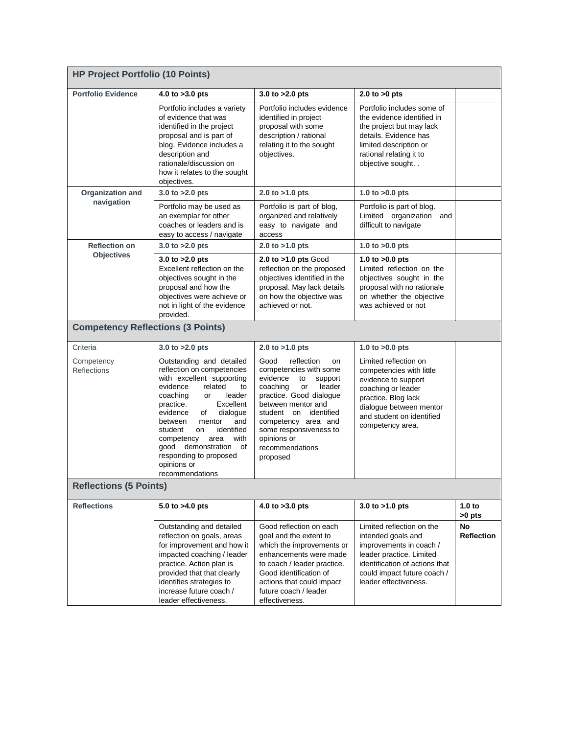| <b>HP Project Portfolio (10 Points)</b>  |                                                                                                                                                                                                                                                                                                                                                                                    |                                                                                                                                                                                                                                                                                      |                                                                                                                                                                                                   |                             |  |
|------------------------------------------|------------------------------------------------------------------------------------------------------------------------------------------------------------------------------------------------------------------------------------------------------------------------------------------------------------------------------------------------------------------------------------|--------------------------------------------------------------------------------------------------------------------------------------------------------------------------------------------------------------------------------------------------------------------------------------|---------------------------------------------------------------------------------------------------------------------------------------------------------------------------------------------------|-----------------------------|--|
| <b>Portfolio Evidence</b>                | 4.0 to $>3.0$ pts                                                                                                                                                                                                                                                                                                                                                                  | 3.0 to $>2.0$ pts                                                                                                                                                                                                                                                                    | 2.0 to $>0$ pts                                                                                                                                                                                   |                             |  |
|                                          | Portfolio includes a variety<br>of evidence that was<br>identified in the project<br>proposal and is part of<br>blog. Evidence includes a<br>description and<br>rationale/discussion on<br>how it relates to the sought<br>objectives.                                                                                                                                             | Portfolio includes evidence<br>identified in project<br>proposal with some<br>description / rational<br>relating it to the sought<br>objectives.                                                                                                                                     | Portfolio includes some of<br>the evidence identified in<br>the project but may lack<br>details. Evidence has<br>limited description or<br>rational relating it to<br>objective sought            |                             |  |
| Organization and                         | 3.0 to $>2.0$ pts                                                                                                                                                                                                                                                                                                                                                                  | 2.0 to $>1.0$ pts                                                                                                                                                                                                                                                                    | 1.0 to $>0.0$ pts                                                                                                                                                                                 |                             |  |
| navigation                               | Portfolio may be used as<br>an exemplar for other<br>coaches or leaders and is<br>easy to access / navigate                                                                                                                                                                                                                                                                        | Portfolio is part of blog,<br>organized and relatively<br>easy to navigate and<br>access                                                                                                                                                                                             | Portfolio is part of blog.<br>Limited organization and<br>difficult to navigate                                                                                                                   |                             |  |
| <b>Reflection on</b>                     | 3.0 to $>2.0$ pts                                                                                                                                                                                                                                                                                                                                                                  | 2.0 to $>1.0$ pts                                                                                                                                                                                                                                                                    | 1.0 to $>0.0$ pts                                                                                                                                                                                 |                             |  |
| <b>Objectives</b>                        | 3.0 to $>2.0$ pts<br>Excellent reflection on the<br>objectives sought in the<br>proposal and how the<br>objectives were achieve or<br>not in light of the evidence<br>provided.                                                                                                                                                                                                    | 2.0 to >1.0 pts Good<br>reflection on the proposed<br>objectives identified in the<br>proposal. May lack details<br>on how the objective was<br>achieved or not.                                                                                                                     | 1.0 to $>0.0$ pts<br>Limited reflection on the<br>objectives sought in the<br>proposal with no rationale<br>on whether the objective<br>was achieved or not                                       |                             |  |
| <b>Competency Reflections (3 Points)</b> |                                                                                                                                                                                                                                                                                                                                                                                    |                                                                                                                                                                                                                                                                                      |                                                                                                                                                                                                   |                             |  |
| Criteria                                 | 3.0 to $>2.0$ pts                                                                                                                                                                                                                                                                                                                                                                  | 2.0 to $>1.0$ pts                                                                                                                                                                                                                                                                    | 1.0 to $>0.0$ pts                                                                                                                                                                                 |                             |  |
| Competency<br><b>Reflections</b>         | Outstanding and detailed<br>reflection on competencies<br>with excellent supporting<br>evidence<br>related<br>to<br>coaching<br>leader<br>or<br>Excellent<br>practice.<br>evidence<br>dialogue<br>of<br>between<br>and<br>mentor<br>identified<br>student<br>on<br>area<br>with<br>competency<br>good demonstration of<br>responding to proposed<br>opinions or<br>recommendations | Good<br>reflection<br>on<br>competencies with some<br>evidence<br>to<br>support<br>leader<br>coaching<br>or<br>practice. Good dialogue<br>between mentor and<br>student on identified<br>competency area and<br>some responsiveness to<br>opinions or<br>recommendations<br>proposed | Limited reflection on<br>competencies with little<br>evidence to support<br>coaching or leader<br>practice. Blog lack<br>dialogue between mentor<br>and student on identified<br>competency area. |                             |  |
| <b>Reflections (5 Points)</b>            |                                                                                                                                                                                                                                                                                                                                                                                    |                                                                                                                                                                                                                                                                                      |                                                                                                                                                                                                   |                             |  |
| <b>Reflections</b>                       | 5.0 to $>4.0$ pts                                                                                                                                                                                                                                                                                                                                                                  | 4.0 to >3.0 pts                                                                                                                                                                                                                                                                      | 3.0 to $>1.0$ pts                                                                                                                                                                                 | 1.0 <sub>to</sub><br>>0 pts |  |
|                                          | Outstanding and detailed<br>reflection on goals, areas<br>for improvement and how it<br>impacted coaching / leader<br>practice. Action plan is<br>provided that that clearly<br>identifies strategies to<br>increase future coach /<br>leader effectiveness.                                                                                                                       | Good reflection on each<br>goal and the extent to<br>which the improvements or<br>enhancements were made<br>to coach / leader practice.<br>Good identification of<br>actions that could impact<br>future coach / leader<br>effectiveness.                                            | Limited reflection on the<br>intended goals and<br>improvements in coach /<br>leader practice. Limited<br>identification of actions that<br>could impact future coach /<br>leader effectiveness.  | No<br><b>Reflection</b>     |  |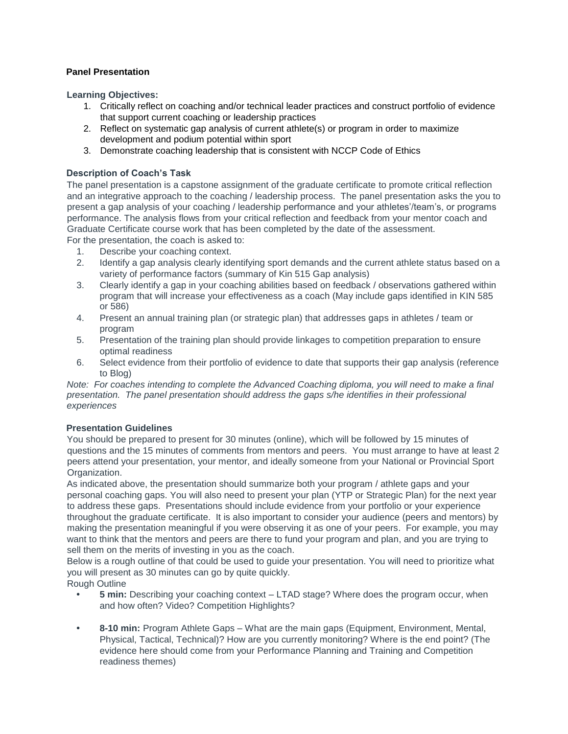# **Panel Presentation**

**Learning Objectives:**

- 1. Critically reflect on coaching and/or technical leader practices and construct portfolio of evidence that support current coaching or leadership practices
- 2. Reflect on systematic gap analysis of current athlete(s) or program in order to maximize development and podium potential within sport
- 3. Demonstrate coaching leadership that is consistent with NCCP Code of Ethics

# **Description of Coach's Task**

The panel presentation is a capstone assignment of the graduate certificate to promote critical reflection and an integrative approach to the coaching / leadership process. The panel presentation asks the you to present a gap analysis of your coaching / leadership performance and your athletes'/team's, or programs performance. The analysis flows from your critical reflection and feedback from your mentor coach and Graduate Certificate course work that has been completed by the date of the assessment.

For the presentation, the coach is asked to:

- 1. Describe your coaching context.
- 2. Identify a gap analysis clearly identifying sport demands and the current athlete status based on a variety of performance factors (summary of Kin 515 Gap analysis)
- 3. Clearly identify a gap in your coaching abilities based on feedback / observations gathered within program that will increase your effectiveness as a coach (May include gaps identified in KIN 585 or 586)
- 4. Present an annual training plan (or strategic plan) that addresses gaps in athletes / team or program
- 5. Presentation of the training plan should provide linkages to competition preparation to ensure optimal readiness
- 6. Select evidence from their portfolio of evidence to date that supports their gap analysis (reference to Blog)

*Note: For coaches intending to complete the Advanced Coaching diploma, you will need to make a final presentation. The panel presentation should address the gaps s/he identifies in their professional experiences* 

#### **Presentation Guidelines**

You should be prepared to present for 30 minutes (online), which will be followed by 15 minutes of questions and the 15 minutes of comments from mentors and peers. You must arrange to have at least 2 peers attend your presentation, your mentor, and ideally someone from your National or Provincial Sport Organization.

As indicated above, the presentation should summarize both your program / athlete gaps and your personal coaching gaps. You will also need to present your plan (YTP or Strategic Plan) for the next year to address these gaps. Presentations should include evidence from your portfolio or your experience throughout the graduate certificate. It is also important to consider your audience (peers and mentors) by making the presentation meaningful if you were observing it as one of your peers. For example, you may want to think that the mentors and peers are there to fund your program and plan, and you are trying to sell them on the merits of investing in you as the coach.

Below is a rough outline of that could be used to guide your presentation. You will need to prioritize what you will present as 30 minutes can go by quite quickly.

Rough Outline

- **• 5 min:** Describing your coaching context LTAD stage? Where does the program occur, when and how often? Video? Competition Highlights?
- **• 8-10 min:** Program Athlete Gaps What are the main gaps (Equipment, Environment, Mental, Physical, Tactical, Technical)? How are you currently monitoring? Where is the end point? (The evidence here should come from your Performance Planning and Training and Competition readiness themes)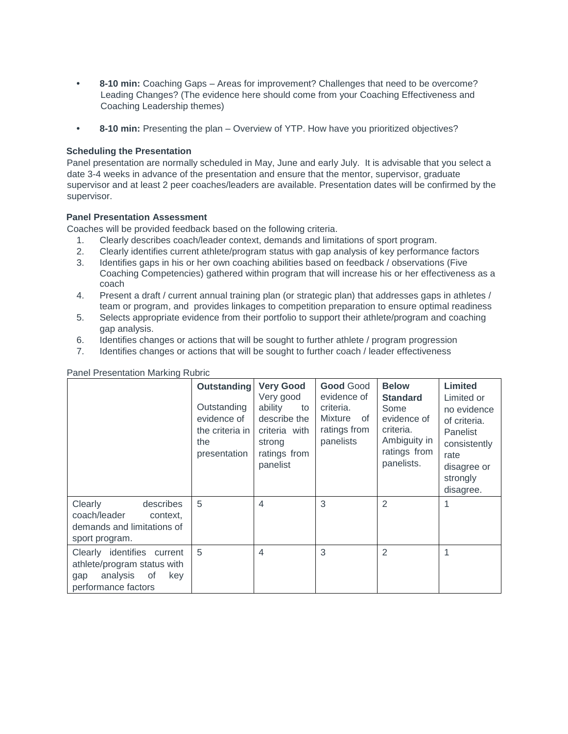- **• 8-10 min:** Coaching Gaps Areas for improvement? Challenges that need to be overcome? Leading Changes? (The evidence here should come from your Coaching Effectiveness and Coaching Leadership themes)
- **• 8-10 min:** Presenting the plan Overview of YTP. How have you prioritized objectives?

# **Scheduling the Presentation**

Panel presentation are normally scheduled in May, June and early July. It is advisable that you select a date 3-4 weeks in advance of the presentation and ensure that the mentor, supervisor, graduate supervisor and at least 2 peer coaches/leaders are available. Presentation dates will be confirmed by the supervisor.

## **Panel Presentation Assessment**

Coaches will be provided feedback based on the following criteria.

- 1. Clearly describes coach/leader context, demands and limitations of sport program.
- 2. Clearly identifies current athlete/program status with gap analysis of key performance factors
- 3. Identifies gaps in his or her own coaching abilities based on feedback / observations (Five Coaching Competencies) gathered within program that will increase his or her effectiveness as a coach
- 4. Present a draft / current annual training plan (or strategic plan) that addresses gaps in athletes / team or program, and provides linkages to competition preparation to ensure optimal readiness
- 5. Selects appropriate evidence from their portfolio to support their athlete/program and coaching gap analysis.
- 6. Identifies changes or actions that will be sought to further athlete / program progression
- 7. Identifies changes or actions that will be sought to further coach / leader effectiveness

|                                                                                                                  | <b>Outstanding</b><br>Outstanding<br>evidence of<br>the criteria in<br>the<br>presentation | <b>Very Good</b><br>Very good<br>ability<br>to<br>describe the<br>criteria with<br>strong<br>ratings from<br>panelist | <b>Good Good</b><br>evidence of<br>criteria.<br>Mixture of<br>ratings from<br>panelists | <b>Below</b><br><b>Standard</b><br>Some<br>evidence of<br>criteria.<br>Ambiguity in<br>ratings from<br>panelists. | Limited<br>Limited or<br>no evidence<br>of criteria.<br>Panelist<br>consistently<br>rate<br>disagree or<br>strongly<br>disagree. |
|------------------------------------------------------------------------------------------------------------------|--------------------------------------------------------------------------------------------|-----------------------------------------------------------------------------------------------------------------------|-----------------------------------------------------------------------------------------|-------------------------------------------------------------------------------------------------------------------|----------------------------------------------------------------------------------------------------------------------------------|
| Clearly<br>describes<br>coach/leader<br>context.<br>demands and limitations of<br>sport program.                 | 5                                                                                          | 4                                                                                                                     | 3                                                                                       | $\overline{2}$                                                                                                    |                                                                                                                                  |
| Clearly identifies current<br>athlete/program status with<br>analysis<br>of<br>key<br>gap<br>performance factors | 5                                                                                          | 4                                                                                                                     | 3                                                                                       | $\overline{2}$                                                                                                    |                                                                                                                                  |

Panel Presentation Marking Rubric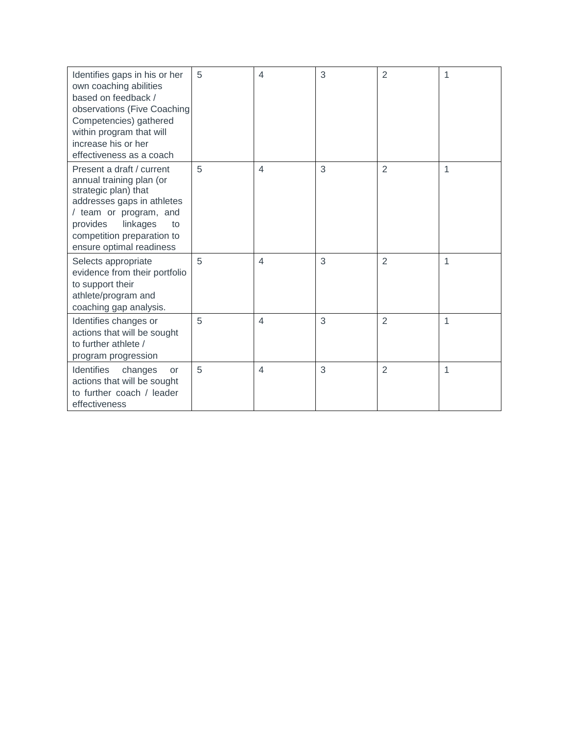| Identifies gaps in his or her<br>own coaching abilities<br>based on feedback /<br>observations (Five Coaching<br>Competencies) gathered<br>within program that will<br>increase his or her<br>effectiveness as a coach        | 5 | 4              | 3 | $\overline{2}$ | 1 |
|-------------------------------------------------------------------------------------------------------------------------------------------------------------------------------------------------------------------------------|---|----------------|---|----------------|---|
| Present a draft / current<br>annual training plan (or<br>strategic plan) that<br>addresses gaps in athletes<br>/ team or program, and<br>provides<br>linkages<br>to<br>competition preparation to<br>ensure optimal readiness | 5 | 4              | 3 | $\overline{2}$ | 1 |
| Selects appropriate<br>evidence from their portfolio<br>to support their<br>athlete/program and<br>coaching gap analysis.                                                                                                     | 5 | $\overline{4}$ | 3 | $\overline{2}$ | 1 |
| Identifies changes or<br>actions that will be sought<br>to further athlete /<br>program progression                                                                                                                           | 5 | 4              | 3 | $\overline{2}$ | 1 |
| Identifies<br>changes<br><b>or</b><br>actions that will be sought<br>to further coach / leader<br>effectiveness                                                                                                               | 5 | 4              | 3 | $\overline{2}$ | 1 |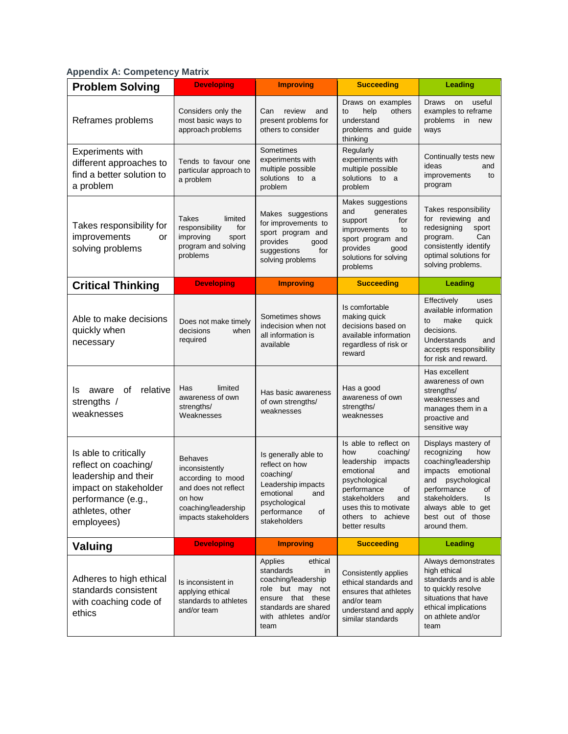# **Appendix A: Competency Matrix**

| <b>Problem Solving</b>                                                                                                                                | <b>Developing</b>                                                                                                                      | <b>Improving</b>                                                                                                                                              | <b>Succeeding</b>                                                                                                                                                                                                   | Leading                                                                                                                                                                                                              |
|-------------------------------------------------------------------------------------------------------------------------------------------------------|----------------------------------------------------------------------------------------------------------------------------------------|---------------------------------------------------------------------------------------------------------------------------------------------------------------|---------------------------------------------------------------------------------------------------------------------------------------------------------------------------------------------------------------------|----------------------------------------------------------------------------------------------------------------------------------------------------------------------------------------------------------------------|
| Reframes problems                                                                                                                                     | Considers only the<br>most basic ways to<br>approach problems                                                                          | Can<br>review<br>and<br>present problems for<br>others to consider                                                                                            | Draws on examples<br>help<br>others<br>to<br>understand<br>problems and guide<br>thinking                                                                                                                           | <b>Draws</b><br>useful<br>on<br>examples to reframe<br>problems in<br>new<br>ways                                                                                                                                    |
| <b>Experiments with</b><br>different approaches to<br>find a better solution to<br>a problem                                                          | Tends to favour one<br>particular approach to<br>a problem                                                                             | Sometimes<br>experiments with<br>multiple possible<br>solutions to a<br>problem                                                                               | Regularly<br>experiments with<br>multiple possible<br>solutions to a<br>problem                                                                                                                                     | Continually tests new<br>ideas<br>and<br>improvements<br>to<br>program                                                                                                                                               |
| Takes responsibility for<br>improvements<br>or<br>solving problems                                                                                    | Takes<br>limited<br>responsibility<br>for<br>improving<br>sport<br>program and solving<br>problems                                     | Makes suggestions<br>for improvements to<br>sport program and<br>provides<br>good<br>for<br>suggestions<br>solving problems                                   | Makes suggestions<br>and<br>generates<br>support<br>for<br>improvements<br>to<br>sport program and<br>provides<br>good<br>solutions for solving<br>problems                                                         | Takes responsibility<br>for reviewing and<br>redesigning<br>sport<br>Can<br>program.<br>consistently identify<br>optimal solutions for<br>solving problems.                                                          |
| <b>Critical Thinking</b>                                                                                                                              | <b>Developing</b>                                                                                                                      | <b>Improving</b>                                                                                                                                              | <b>Succeeding</b>                                                                                                                                                                                                   | Leading                                                                                                                                                                                                              |
| Able to make decisions<br>quickly when<br>necessary                                                                                                   | Does not make timely<br>decisions<br>when<br>required                                                                                  | Sometimes shows<br>indecision when not<br>all information is<br>available                                                                                     | Is comfortable<br>making quick<br>decisions based on<br>available information<br>regardless of risk or<br>reward                                                                                                    | Effectively<br>uses<br>available information<br>make<br>quick<br>to<br>decisions.<br>Understands<br>and<br>accepts responsibility<br>for risk and reward.                                                            |
| relative<br>0f<br>aware<br>Is<br>strengths /<br>weaknesses                                                                                            | limited<br>Has<br>awareness of own<br>strengths/<br>Weaknesses                                                                         | Has basic awareness<br>of own strengths/<br>weaknesses                                                                                                        | Has a good<br>awareness of own<br>strengths/<br>weaknesses                                                                                                                                                          | Has excellent<br>awareness of own<br>strengths/<br>weaknesses and<br>manages them in a<br>proactive and<br>sensitive way                                                                                             |
| Is able to critically<br>reflect on coaching/<br>leadership and their<br>impact on stakeholder<br>performance (e.g.,<br>athletes, other<br>employees) | <b>Behaves</b><br>inconsistently<br>according to mood<br>and does not reflect<br>on how<br>coaching/leadership<br>impacts stakeholders | Is generally able to<br>reflect on how<br>coaching/<br>Leadership impacts<br>emotional and<br>psychological<br>performance<br>of<br>stakeholders              | Is able to reflect on<br>coaching/<br>how<br>leadership<br>impacts<br>emotional<br>and<br>psychological<br>performance<br>οf<br>stakeholders<br>and<br>uses this to motivate<br>others to achieve<br>better results | Displays mastery of<br>recognizing<br>how<br>coaching/leadership<br>impacts emotional<br>and<br>psychological<br>performance<br>οf<br>stakeholders.<br>ls<br>always able to get<br>best out of those<br>around them. |
| Valuing                                                                                                                                               | <b>Developing</b>                                                                                                                      | <b>Improving</b>                                                                                                                                              | <b>Succeeding</b>                                                                                                                                                                                                   | <b>Leading</b>                                                                                                                                                                                                       |
| Adheres to high ethical<br>standards consistent<br>with coaching code of<br>ethics                                                                    | Is inconsistent in<br>applying ethical<br>standards to athletes<br>and/or team                                                         | Applies<br>ethical<br>standards<br>in<br>coaching/leadership<br>role but may not<br>ensure that these<br>standards are shared<br>with athletes and/or<br>team | Consistently applies<br>ethical standards and<br>ensures that athletes<br>and/or team<br>understand and apply<br>similar standards                                                                                  | Always demonstrates<br>high ethical<br>standards and is able<br>to quickly resolve<br>situations that have<br>ethical implications<br>on athlete and/or<br>team                                                      |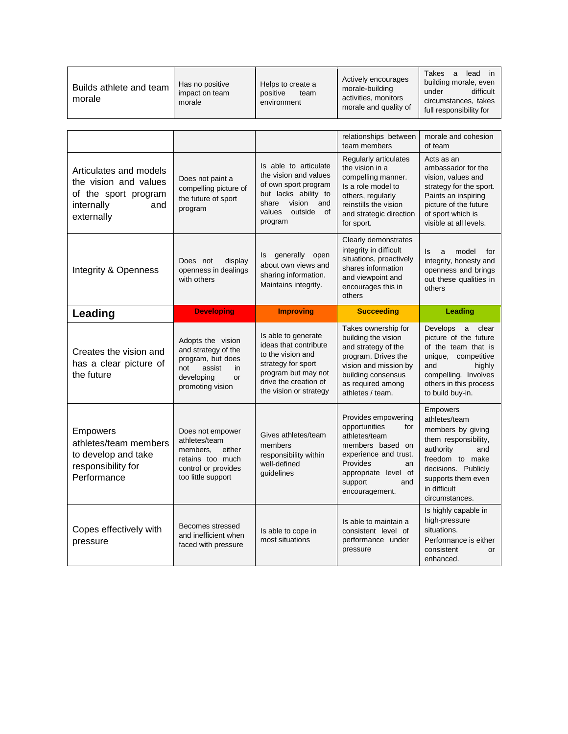| Builds athlete and team<br>morale | Has no positive<br>impact on team<br>morale | Helps to create a<br>positive<br>team<br>environment | Actively encourages<br>morale-building<br>activities, monitors<br>morale and quality of | lead<br>Takes<br>a<br>building morale, even<br>difficult<br>under<br>circumstances, takes<br>full responsibility for |
|-----------------------------------|---------------------------------------------|------------------------------------------------------|-----------------------------------------------------------------------------------------|----------------------------------------------------------------------------------------------------------------------|
|-----------------------------------|---------------------------------------------|------------------------------------------------------|-----------------------------------------------------------------------------------------|----------------------------------------------------------------------------------------------------------------------|

|                                                                                                            |                                                                                                                              |                                                                                                                                                                   | relationships between<br>team members                                                                                                                                                   | morale and cohesion<br>of team                                                                                                                                                               |
|------------------------------------------------------------------------------------------------------------|------------------------------------------------------------------------------------------------------------------------------|-------------------------------------------------------------------------------------------------------------------------------------------------------------------|-----------------------------------------------------------------------------------------------------------------------------------------------------------------------------------------|----------------------------------------------------------------------------------------------------------------------------------------------------------------------------------------------|
| Articulates and models<br>the vision and values<br>of the sport program<br>internally<br>and<br>externally | Does not paint a<br>compelling picture of<br>the future of sport<br>program                                                  | Is able to articulate<br>the vision and values<br>of own sport program<br>but lacks ability to<br>vision<br>share<br>and<br>values<br>outside<br>of<br>program    | Regularly articulates<br>the vision in a<br>compelling manner.<br>Is a role model to<br>others, regularly<br>reinstills the vision<br>and strategic direction<br>for sport.             | Acts as an<br>ambassador for the<br>vision, values and<br>strategy for the sport.<br>Paints an inspiring<br>picture of the future<br>of sport which is<br>visible at all levels.             |
| Integrity & Openness                                                                                       | display<br>Does not<br>openness in dealings<br>with others                                                                   | Is generally open<br>about own views and<br>sharing information.<br>Maintains integrity.                                                                          | Clearly demonstrates<br>integrity in difficult<br>situations, proactively<br>shares information<br>and viewpoint and<br>encourages this in<br>others                                    | model<br>ls<br>a<br>for<br>integrity, honesty and<br>openness and brings<br>out these qualities in<br>others                                                                                 |
| <b>Leading</b>                                                                                             | <b>Developing</b>                                                                                                            | <b>Improving</b>                                                                                                                                                  | <b>Succeeding</b>                                                                                                                                                                       | Leading                                                                                                                                                                                      |
| Creates the vision and<br>has a clear picture of<br>the future                                             | Adopts the vision<br>and strategy of the<br>program, but does<br>assist<br>in<br>not<br>developing<br>or<br>promoting vision | Is able to generate<br>ideas that contribute<br>to the vision and<br>strategy for sport<br>program but may not<br>drive the creation of<br>the vision or strategy | Takes ownership for<br>building the vision<br>and strategy of the<br>program. Drives the<br>vision and mission by<br>building consensus<br>as required among<br>athletes / team.        | Develops a<br>clear<br>picture of the future<br>of the team that is<br>unique, competitive<br>and<br>highly<br>compelling. Involves<br>others in this process<br>to build buy-in.            |
| <b>Empowers</b><br>athletes/team members<br>to develop and take<br>responsibility for<br>Performance       | Does not empower<br>athletes/team<br>members.<br>either<br>retains too much<br>control or provides<br>too little support     | Gives athletes/team<br>members<br>responsibility within<br>well-defined<br>guidelines                                                                             | Provides empowering<br>opportunities<br>for<br>athletes/team<br>members based on<br>experience and trust.<br>Provides<br>an<br>appropriate level of<br>support<br>and<br>encouragement. | Empowers<br>athletes/team<br>members by giving<br>them responsibility,<br>authority<br>and<br>freedom to make<br>decisions. Publicly<br>supports them even<br>in difficult<br>circumstances. |
| Copes effectively with<br>pressure                                                                         | Becomes stressed<br>and inefficient when<br>faced with pressure                                                              | Is able to cope in<br>most situations                                                                                                                             | Is able to maintain a<br>consistent level of<br>performance under<br>pressure                                                                                                           | Is highly capable in<br>high-pressure<br>situations.<br>Performance is either<br>consistent<br>or<br>enhanced.                                                                               |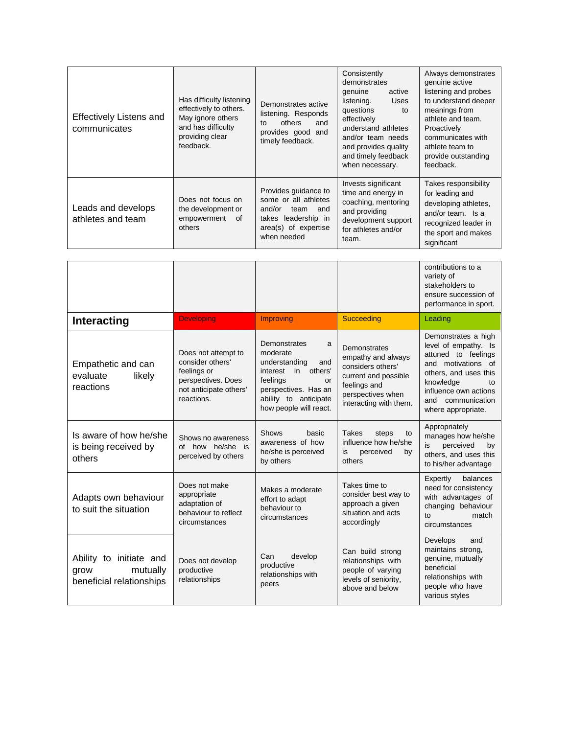| <b>Effectively Listens and</b><br>communicates | Has difficulty listening<br>effectively to others.<br>May ignore others<br>and has difficulty<br>providing clear<br>feedback. | Demonstrates active<br>listening. Responds<br>others<br>and<br>to<br>provides good and<br>timely feedback.                          | Consistently<br>demonstrates<br>genuine<br>active<br>listening.<br><b>Uses</b><br>questions<br>to<br>effectively<br>understand athletes<br>and/or team needs<br>and provides quality<br>and timely feedback<br>when necessary. | Always demonstrates<br>genuine active<br>listening and probes<br>to understand deeper<br>meanings from<br>athlete and team.<br>Proactively<br>communicates with<br>athlete team to<br>provide outstanding<br>feedback. |
|------------------------------------------------|-------------------------------------------------------------------------------------------------------------------------------|-------------------------------------------------------------------------------------------------------------------------------------|--------------------------------------------------------------------------------------------------------------------------------------------------------------------------------------------------------------------------------|------------------------------------------------------------------------------------------------------------------------------------------------------------------------------------------------------------------------|
| Leads and develops<br>athletes and team        | Does not focus on<br>the development or<br>empowerment<br>of<br>others                                                        | Provides guidance to<br>some or all athletes<br>and/or<br>team<br>and<br>takes leadership in<br>area(s) of expertise<br>when needed | Invests significant<br>time and energy in<br>coaching, mentoring<br>and providing<br>development support<br>for athletes and/or<br>team.                                                                                       | Takes responsibility<br>for leading and<br>developing athletes,<br>and/or team. Is a<br>recognized leader in<br>the sport and makes<br>significant                                                                     |

|                                                                         |                                                                                                                      |                                                                                                                                                                           |                                                                                                                                                | contributions to a<br>variety of<br>stakeholders to<br>ensure succession of<br>performance in sport.                                                                                                     |
|-------------------------------------------------------------------------|----------------------------------------------------------------------------------------------------------------------|---------------------------------------------------------------------------------------------------------------------------------------------------------------------------|------------------------------------------------------------------------------------------------------------------------------------------------|----------------------------------------------------------------------------------------------------------------------------------------------------------------------------------------------------------|
| Interacting                                                             | <b>Developing</b>                                                                                                    | Improving                                                                                                                                                                 | Succeeding                                                                                                                                     | Leading                                                                                                                                                                                                  |
| Empathetic and can<br>evaluate<br>likely<br>reactions                   | Does not attempt to<br>consider others'<br>feelings or<br>perspectives. Does<br>not anticipate others'<br>reactions. | Demonstrates<br>a<br>moderate<br>understanding<br>and<br>interest in others'<br>feelings<br>or<br>perspectives. Has an<br>ability to anticipate<br>how people will react. | Demonstrates<br>empathy and always<br>considers others'<br>current and possible<br>feelings and<br>perspectives when<br>interacting with them. | Demonstrates a high<br>level of empathy. Is<br>attuned to feelings<br>and motivations of<br>others, and uses this<br>knowledge<br>to<br>influence own actions<br>and communication<br>where appropriate. |
| Is aware of how he/she<br>is being received by<br>others                | Shows no awareness<br>of how he/she is<br>perceived by others                                                        | <b>Shows</b><br>basic<br>awareness of how<br>he/she is perceived<br>by others                                                                                             | <b>Takes</b><br>steps<br>to<br>influence how he/she<br>is<br>perceived<br>by<br>others                                                         | Appropriately<br>manages how he/she<br>perceived<br>is<br>by<br>others, and uses this<br>to his/her advantage                                                                                            |
| Adapts own behaviour<br>to suit the situation                           | Does not make<br>appropriate<br>adaptation of<br>behaviour to reflect<br>circumstances                               | Makes a moderate<br>effort to adapt<br>behaviour to<br>circumstances                                                                                                      | Takes time to<br>consider best way to<br>approach a given<br>situation and acts<br>accordingly                                                 | Expertly<br>balances<br>need for consistency<br>with advantages of<br>changing behaviour<br>match<br>tΩ<br>circumstances                                                                                 |
| Ability to initiate and<br>mutually<br>grow<br>beneficial relationships | Does not develop<br>productive<br>relationships                                                                      | develop<br>Can<br>productive<br>relationships with<br>peers                                                                                                               | Can build strong<br>relationships with<br>people of varying<br>levels of seniority.<br>above and below                                         | Develops<br>and<br>maintains strong,<br>genuine, mutually<br>beneficial<br>relationships with<br>people who have<br>various styles                                                                       |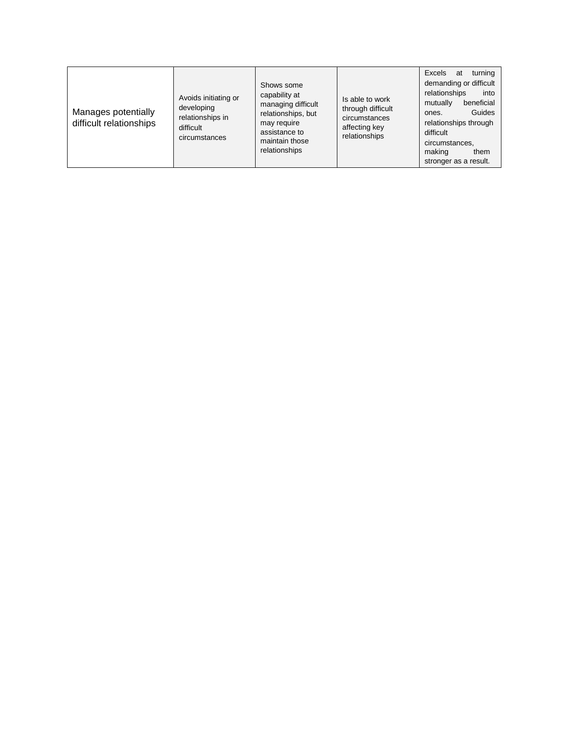| Excels<br>turning<br>at<br>demanding or difficult<br>Shows some<br>relationships<br>into<br>capability at<br>Avoids initiating or<br>Is able to work<br>beneficial<br>mutually<br>managing difficult<br>developing<br>through difficult<br>Manages potentially<br>Guides<br>relationships, but<br>ones.<br>relationships in<br>circumstances<br>difficult relationships<br>relationships through<br>may require<br>affecting key<br>difficult<br>assistance to<br>difficult<br>relationships<br>circumstances<br>maintain those<br>circumstances,<br>relationships<br>making<br>them |
|--------------------------------------------------------------------------------------------------------------------------------------------------------------------------------------------------------------------------------------------------------------------------------------------------------------------------------------------------------------------------------------------------------------------------------------------------------------------------------------------------------------------------------------------------------------------------------------|
|--------------------------------------------------------------------------------------------------------------------------------------------------------------------------------------------------------------------------------------------------------------------------------------------------------------------------------------------------------------------------------------------------------------------------------------------------------------------------------------------------------------------------------------------------------------------------------------|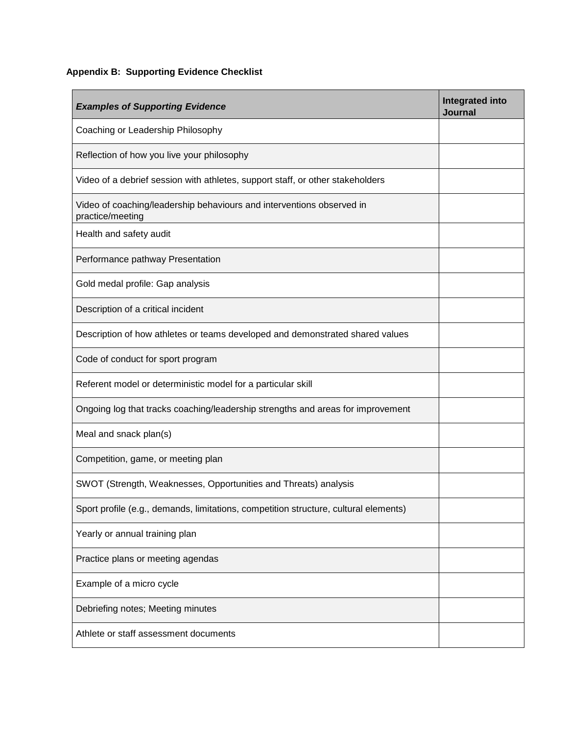# **Appendix B: Supporting Evidence Checklist**

| <b>Examples of Supporting Evidence</b>                                                    | <b>Integrated into</b><br><b>Journal</b> |
|-------------------------------------------------------------------------------------------|------------------------------------------|
| Coaching or Leadership Philosophy                                                         |                                          |
| Reflection of how you live your philosophy                                                |                                          |
| Video of a debrief session with athletes, support staff, or other stakeholders            |                                          |
| Video of coaching/leadership behaviours and interventions observed in<br>practice/meeting |                                          |
| Health and safety audit                                                                   |                                          |
| Performance pathway Presentation                                                          |                                          |
| Gold medal profile: Gap analysis                                                          |                                          |
| Description of a critical incident                                                        |                                          |
| Description of how athletes or teams developed and demonstrated shared values             |                                          |
| Code of conduct for sport program                                                         |                                          |
| Referent model or deterministic model for a particular skill                              |                                          |
| Ongoing log that tracks coaching/leadership strengths and areas for improvement           |                                          |
| Meal and snack plan(s)                                                                    |                                          |
| Competition, game, or meeting plan                                                        |                                          |
| SWOT (Strength, Weaknesses, Opportunities and Threats) analysis                           |                                          |
| Sport profile (e.g., demands, limitations, competition structure, cultural elements)      |                                          |
| Yearly or annual training plan                                                            |                                          |
| Practice plans or meeting agendas                                                         |                                          |
| Example of a micro cycle                                                                  |                                          |
| Debriefing notes; Meeting minutes                                                         |                                          |
| Athlete or staff assessment documents                                                     |                                          |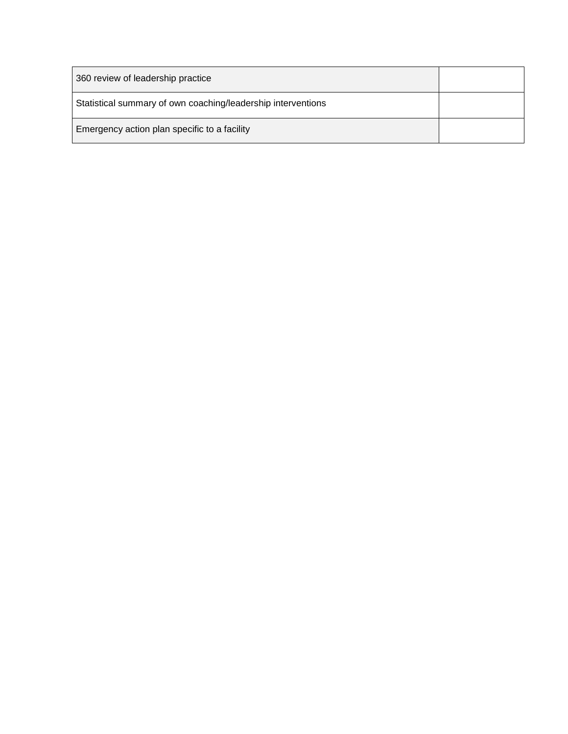| 360 review of leadership practice                            |  |
|--------------------------------------------------------------|--|
| Statistical summary of own coaching/leadership interventions |  |
| Emergency action plan specific to a facility                 |  |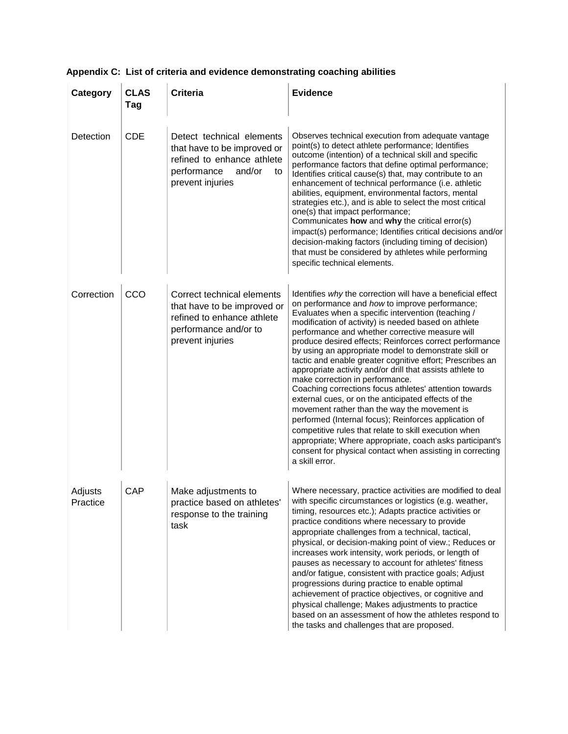| Category            | <b>CLAS</b><br>Tag | <b>Criteria</b>                                                                                                                           | <b>Evidence</b>                                                                                                                                                                                                                                                                                                                                                                                                                                                                                                                                                                                                                                                                                                                                                                                                                                                                                                                                                                               |
|---------------------|--------------------|-------------------------------------------------------------------------------------------------------------------------------------------|-----------------------------------------------------------------------------------------------------------------------------------------------------------------------------------------------------------------------------------------------------------------------------------------------------------------------------------------------------------------------------------------------------------------------------------------------------------------------------------------------------------------------------------------------------------------------------------------------------------------------------------------------------------------------------------------------------------------------------------------------------------------------------------------------------------------------------------------------------------------------------------------------------------------------------------------------------------------------------------------------|
| Detection           | <b>CDE</b>         | Detect technical elements<br>that have to be improved or<br>refined to enhance athlete<br>performance<br>and/or<br>to<br>prevent injuries | Observes technical execution from adequate vantage<br>point(s) to detect athlete performance; Identifies<br>outcome (intention) of a technical skill and specific<br>performance factors that define optimal performance;<br>Identifies critical cause(s) that, may contribute to an<br>enhancement of technical performance (i.e. athletic<br>abilities, equipment, environmental factors, mental<br>strategies etc.), and is able to select the most critical<br>one(s) that impact performance;<br>Communicates how and why the critical error(s)<br>impact(s) performance; Identifies critical decisions and/or<br>decision-making factors (including timing of decision)<br>that must be considered by athletes while performing<br>specific technical elements.                                                                                                                                                                                                                         |
| Correction          | CCO                | Correct technical elements<br>that have to be improved or<br>refined to enhance athlete<br>performance and/or to<br>prevent injuries      | Identifies why the correction will have a beneficial effect<br>on performance and how to improve performance;<br>Evaluates when a specific intervention (teaching /<br>modification of activity) is needed based on athlete<br>performance and whether corrective measure will<br>produce desired effects; Reinforces correct performance<br>by using an appropriate model to demonstrate skill or<br>tactic and enable greater cognitive effort; Prescribes an<br>appropriate activity and/or drill that assists athlete to<br>make correction in performance.<br>Coaching corrections focus athletes' attention towards<br>external cues, or on the anticipated effects of the<br>movement rather than the way the movement is<br>performed (Internal focus); Reinforces application of<br>competitive rules that relate to skill execution when<br>appropriate; Where appropriate, coach asks participant's<br>consent for physical contact when assisting in correcting<br>a skill error. |
| Adjusts<br>Practice | CAP                | Make adjustments to<br>practice based on athletes'<br>response to the training<br>task                                                    | Where necessary, practice activities are modified to deal<br>with specific circumstances or logistics (e.g. weather,<br>timing, resources etc.); Adapts practice activities or<br>practice conditions where necessary to provide<br>appropriate challenges from a technical, tactical,<br>physical, or decision-making point of view.; Reduces or<br>increases work intensity, work periods, or length of<br>pauses as necessary to account for athletes' fitness<br>and/or fatigue, consistent with practice goals; Adjust<br>progressions during practice to enable optimal<br>achievement of practice objectives, or cognitive and<br>physical challenge; Makes adjustments to practice<br>based on an assessment of how the athletes respond to<br>the tasks and challenges that are proposed.                                                                                                                                                                                            |

# **Appendix C: List of criteria and evidence demonstrating coaching abilities**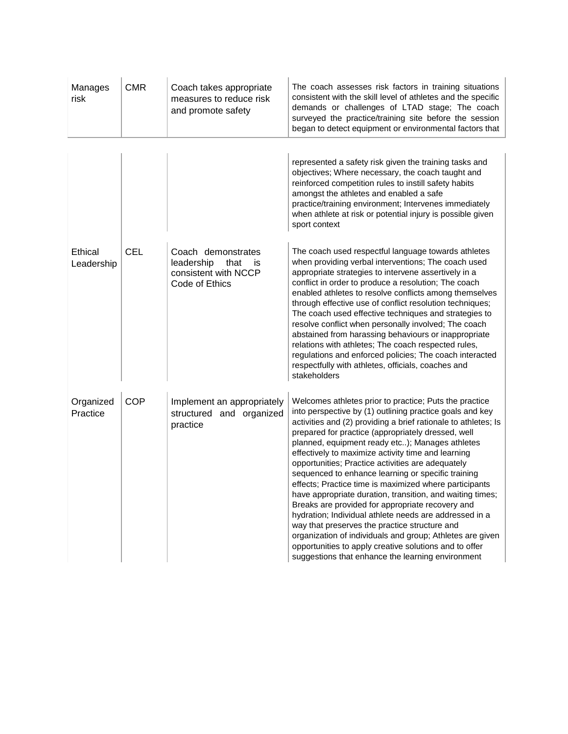| Manages<br>risk       | <b>CMR</b> | Coach takes appropriate<br>measures to reduce risk<br>and promote safety                 | The coach assesses risk factors in training situations<br>consistent with the skill level of athletes and the specific<br>demands or challenges of LTAD stage; The coach<br>surveyed the practice/training site before the session<br>began to detect equipment or environmental factors that                                                                                                                                                                                                                                                                                                                                                                                                                                                                                                                                                                                                                                    |
|-----------------------|------------|------------------------------------------------------------------------------------------|----------------------------------------------------------------------------------------------------------------------------------------------------------------------------------------------------------------------------------------------------------------------------------------------------------------------------------------------------------------------------------------------------------------------------------------------------------------------------------------------------------------------------------------------------------------------------------------------------------------------------------------------------------------------------------------------------------------------------------------------------------------------------------------------------------------------------------------------------------------------------------------------------------------------------------|
|                       |            |                                                                                          | represented a safety risk given the training tasks and<br>objectives; Where necessary, the coach taught and<br>reinforced competition rules to instill safety habits<br>amongst the athletes and enabled a safe<br>practice/training environment; Intervenes immediately<br>when athlete at risk or potential injury is possible given<br>sport context                                                                                                                                                                                                                                                                                                                                                                                                                                                                                                                                                                          |
| Ethical<br>Leadership | <b>CEL</b> | Coach demonstrates<br>leadership<br>that<br>is<br>consistent with NCCP<br>Code of Ethics | The coach used respectful language towards athletes<br>when providing verbal interventions; The coach used<br>appropriate strategies to intervene assertively in a<br>conflict in order to produce a resolution; The coach<br>enabled athletes to resolve conflicts among themselves<br>through effective use of conflict resolution techniques;<br>The coach used effective techniques and strategies to<br>resolve conflict when personally involved; The coach<br>abstained from harassing behaviours or inappropriate<br>relations with athletes; The coach respected rules,<br>regulations and enforced policies; The coach interacted<br>respectfully with athletes, officials, coaches and<br>stakeholders                                                                                                                                                                                                                |
| Organized<br>Practice | <b>COP</b> | Implement an appropriately<br>structured and organized<br>practice                       | Welcomes athletes prior to practice; Puts the practice<br>into perspective by (1) outlining practice goals and key<br>activities and (2) providing a brief rationale to athletes; Is<br>prepared for practice (appropriately dressed, well<br>planned, equipment ready etc); Manages athletes<br>effectively to maximize activity time and learning<br>opportunities; Practice activities are adequately<br>sequenced to enhance learning or specific training<br>effects; Practice time is maximized where participants<br>have appropriate duration, transition, and waiting times;<br>Breaks are provided for appropriate recovery and<br>hydration; Individual athlete needs are addressed in a<br>way that preserves the practice structure and<br>organization of individuals and group; Athletes are given<br>opportunities to apply creative solutions and to offer<br>suggestions that enhance the learning environment |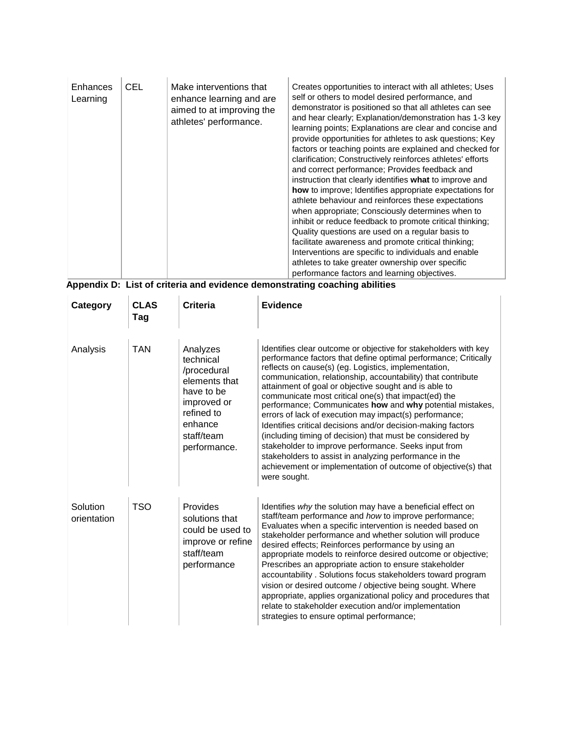| Enhances<br>Learning | <b>CEL</b> | Make interventions that<br>enhance learning and are<br>aimed to at improving the<br>athletes' performance. | Creates opportunities to interact with all athletes; Uses<br>self or others to model desired performance, and<br>demonstrator is positioned so that all athletes can see<br>and hear clearly; Explanation/demonstration has 1-3 key<br>learning points; Explanations are clear and concise and<br>provide opportunities for athletes to ask questions; Key<br>factors or teaching points are explained and checked for<br>clarification; Constructively reinforces athletes' efforts<br>and correct performance; Provides feedback and<br>instruction that clearly identifies what to improve and<br><b>how</b> to improve; Identifies appropriate expectations for<br>athlete behaviour and reinforces these expectations<br>when appropriate; Consciously determines when to<br>inhibit or reduce feedback to promote critical thinking;<br>Quality questions are used on a regular basis to<br>facilitate awareness and promote critical thinking;<br>Interventions are specific to individuals and enable<br>athletes to take greater ownership over specific<br>performance factors and learning objectives. |
|----------------------|------------|------------------------------------------------------------------------------------------------------------|-------------------------------------------------------------------------------------------------------------------------------------------------------------------------------------------------------------------------------------------------------------------------------------------------------------------------------------------------------------------------------------------------------------------------------------------------------------------------------------------------------------------------------------------------------------------------------------------------------------------------------------------------------------------------------------------------------------------------------------------------------------------------------------------------------------------------------------------------------------------------------------------------------------------------------------------------------------------------------------------------------------------------------------------------------------------------------------------------------------------|
|                      |            | .                                                                                                          |                                                                                                                                                                                                                                                                                                                                                                                                                                                                                                                                                                                                                                                                                                                                                                                                                                                                                                                                                                                                                                                                                                                   |

| Category                | <b>CLAS</b><br>Tag | <b>Criteria</b>                                                                                                                           | Evidence                                                                                                                                                                                                                                                                                                                                                                                                                                                                                                                                                                                                                                                                                                                                                                                                                           |
|-------------------------|--------------------|-------------------------------------------------------------------------------------------------------------------------------------------|------------------------------------------------------------------------------------------------------------------------------------------------------------------------------------------------------------------------------------------------------------------------------------------------------------------------------------------------------------------------------------------------------------------------------------------------------------------------------------------------------------------------------------------------------------------------------------------------------------------------------------------------------------------------------------------------------------------------------------------------------------------------------------------------------------------------------------|
| Analysis                | <b>TAN</b>         | Analyzes<br>technical<br>/procedural<br>elements that<br>have to be<br>improved or<br>refined to<br>enhance<br>staff/team<br>performance. | Identifies clear outcome or objective for stakeholders with key<br>performance factors that define optimal performance; Critically<br>reflects on cause(s) (eg. Logistics, implementation,<br>communication, relationship, accountability) that contribute<br>attainment of goal or objective sought and is able to<br>communicate most critical one(s) that impact(ed) the<br>performance; Communicates how and why potential mistakes,<br>errors of lack of execution may impact(s) performance;<br>Identifies critical decisions and/or decision-making factors<br>(including timing of decision) that must be considered by<br>stakeholder to improve performance. Seeks input from<br>stakeholders to assist in analyzing performance in the<br>achievement or implementation of outcome of objective(s) that<br>were sought. |
| Solution<br>orientation | <b>TSO</b>         | Provides<br>solutions that<br>could be used to<br>improve or refine<br>staff/team<br>performance                                          | Identifies why the solution may have a beneficial effect on<br>staff/team performance and how to improve performance;<br>Evaluates when a specific intervention is needed based on<br>stakeholder performance and whether solution will produce<br>desired effects; Reinforces performance by using an<br>appropriate models to reinforce desired outcome or objective;<br>Prescribes an appropriate action to ensure stakeholder<br>accountability. Solutions focus stakeholders toward program<br>vision or desired outcome / objective being sought. Where<br>appropriate, applies organizational policy and procedures that<br>relate to stakeholder execution and/or implementation<br>strategies to ensure optimal performance;                                                                                              |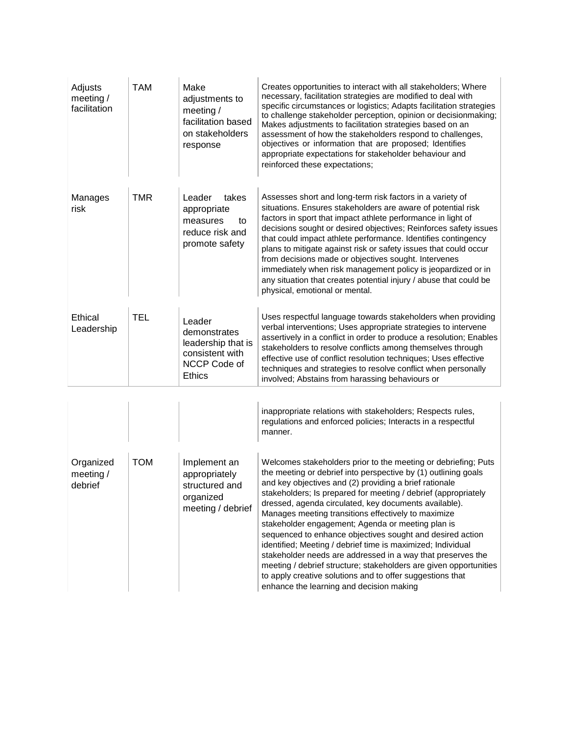| Adjusts<br>meeting $/$<br>facilitation | <b>TAM</b> | Make<br>adjustments to<br>meeting $/$<br>facilitation based<br>on stakeholders<br>response       | Creates opportunities to interact with all stakeholders; Where<br>necessary, facilitation strategies are modified to deal with<br>specific circumstances or logistics; Adapts facilitation strategies<br>to challenge stakeholder perception, opinion or decisionmaking;<br>Makes adjustments to facilitation strategies based on an<br>assessment of how the stakeholders respond to challenges,<br>objectives or information that are proposed; Identifies<br>appropriate expectations for stakeholder behaviour and<br>reinforced these expectations;                                                                                                                                                                                                                                                   |
|----------------------------------------|------------|--------------------------------------------------------------------------------------------------|------------------------------------------------------------------------------------------------------------------------------------------------------------------------------------------------------------------------------------------------------------------------------------------------------------------------------------------------------------------------------------------------------------------------------------------------------------------------------------------------------------------------------------------------------------------------------------------------------------------------------------------------------------------------------------------------------------------------------------------------------------------------------------------------------------|
| Manages<br>risk                        | TMR        | takes<br>Leader<br>appropriate<br>measures<br>to<br>reduce risk and<br>promote safety            | Assesses short and long-term risk factors in a variety of<br>situations. Ensures stakeholders are aware of potential risk<br>factors in sport that impact athlete performance in light of<br>decisions sought or desired objectives; Reinforces safety issues<br>that could impact athlete performance. Identifies contingency<br>plans to mitigate against risk or safety issues that could occur<br>from decisions made or objectives sought. Intervenes<br>immediately when risk management policy is jeopardized or in<br>any situation that creates potential injury / abuse that could be<br>physical, emotional or mental.                                                                                                                                                                          |
| Ethical<br>Leadership                  | <b>TEL</b> | Leader<br>demonstrates<br>leadership that is<br>consistent with<br>NCCP Code of<br><b>Ethics</b> | Uses respectful language towards stakeholders when providing<br>verbal interventions; Uses appropriate strategies to intervene<br>assertively in a conflict in order to produce a resolution; Enables<br>stakeholders to resolve conflicts among themselves through<br>effective use of conflict resolution techniques; Uses effective<br>techniques and strategies to resolve conflict when personally<br>involved; Abstains from harassing behaviours or                                                                                                                                                                                                                                                                                                                                                 |
|                                        |            |                                                                                                  | inappropriate relations with stakeholders; Respects rules,<br>regulations and enforced policies; Interacts in a respectful<br>manner.                                                                                                                                                                                                                                                                                                                                                                                                                                                                                                                                                                                                                                                                      |
| Organized<br>meeting /<br>debrief      | <b>TOM</b> | Implement an<br>appropriately<br>structured and<br>organized<br>meeting / debrief                | Welcomes stakeholders prior to the meeting or debriefing; Puts<br>the meeting or debrief into perspective by (1) outlining goals<br>and key objectives and (2) providing a brief rationale<br>stakeholders; Is prepared for meeting / debrief (appropriately<br>dressed, agenda circulated, key documents available).<br>Manages meeting transitions effectively to maximize<br>stakeholder engagement; Agenda or meeting plan is<br>sequenced to enhance objectives sought and desired action<br>identified; Meeting / debrief time is maximized; Individual<br>stakeholder needs are addressed in a way that preserves the<br>meeting / debrief structure; stakeholders are given opportunities<br>to apply creative solutions and to offer suggestions that<br>enhance the learning and decision making |